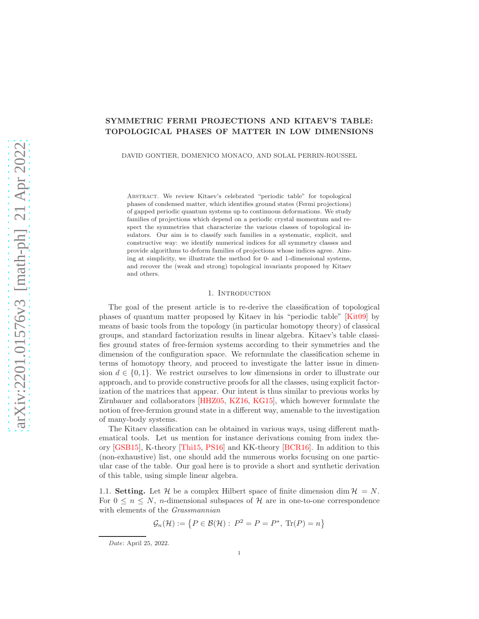# SYMMETRIC FERMI PROJECTIONS AND KITAEV'S TABLE: TOPOLOGICAL PHASES OF MATTER IN LOW DIMENSIONS

DAVID GONTIER, DOMENICO MONACO, AND SOLAL PERRIN-ROUSSEL

Abstract. We review Kitaev's celebrated "periodic table" for topological phases of condensed matter, which identifies ground states (Fermi projections) of gapped periodic quantum systems up to continuous deformations. We study families of projections which depend on a periodic crystal momentum and respect the symmetries that characterize the various classes of topological insulators. Our aim is to classify such families in a systematic, explicit, and constructive way: we identify numerical indices for all symmetry classes and provide algorithms to deform families of projections whose indices agree. Aiming at simplicity, we illustrate the method for 0- and 1-dimensional systems, and recover the (weak and strong) topological invariants proposed by Kitaev and others.

## 1. INTRODUCTION

The goal of the present article is to re-derive the classification of topological phases of quantum matter proposed by Kitaev in his "periodic table" [\[Kit09\]](#page-21-0) by means of basic tools from the topology (in particular homotopy theory) of classical groups, and standard factorization results in linear algebra. Kitaev's table classifies ground states of free-fermion systems according to their symmetries and the dimension of the configuration space. We reformulate the classification scheme in terms of homotopy theory, and proceed to investigate the latter issue in dimension  $d \in \{0, 1\}$ . We restrict ourselves to low dimensions in order to illustrate our approach, and to provide constructive proofs for all the classes, using explicit factorization of the matrices that appear. Our intent is thus similar to previous works by Zirnbauer and collaborators [\[HHZ05,](#page-21-1) [KZ16,](#page-21-2) [KG15\]](#page-21-3), which however formulate the notion of free-fermion ground state in a different way, amenable to the investigation of many-body systems.

The Kitaev classification can be obtained in various ways, using different mathematical tools. Let us mention for instance derivations coming from index theory [\[GSB15\]](#page-21-4), K-theory [\[Thi15,](#page-21-5) [PS16\]](#page-21-6) and KK-theory [\[BCR16\]](#page-20-0). In addition to this (non-exhaustive) list, one should add the numerous works focusing on one particular case of the table. Our goal here is to provide a short and synthetic derivation of this table, using simple linear algebra.

1.1. **Setting.** Let H be a complex Hilbert space of finite dimension dim  $\mathcal{H} = N$ . For  $0 \leq n \leq N$ , *n*-dimensional subspaces of H are in one-to-one correspondence with elements of the *Grassmannian* 

$$
\mathcal{G}_n(\mathcal{H}) := \left\{ P \in \mathcal{B}(\mathcal{H}) : \ P^2 = P = P^*, \ \text{Tr}(P) = n \right\}
$$

Date: April 25, 2022.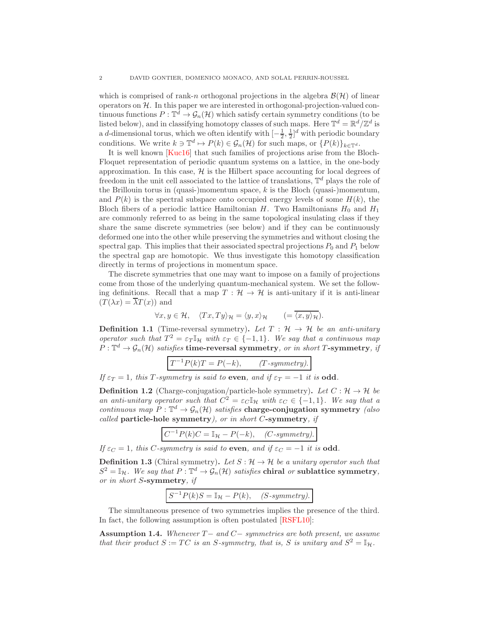which is comprised of rank-n orthogonal projections in the algebra  $\mathcal{B}(\mathcal{H})$  of linear operators on  $H$ . In this paper we are interested in orthogonal-projection-valued continuous functions  $P: \mathbb{T}^d \to \mathcal{G}_n(\mathcal{H})$  which satisfy certain symmetry conditions (to be listed below), and in classifying homotopy classes of such maps. Here  $\mathbb{T}^d = \mathbb{R}^d / \mathbb{Z}^d$  is a d-dimensional torus, which we often identify with  $\left[-\frac{1}{2},\frac{1}{2}\right]^d$  with periodic boundary conditions. We write  $k \ni \mathbb{T}^d \mapsto P(k) \in \mathcal{G}_n(\mathcal{H})$  for such maps, or  $\{P(k)\}_{k \in \mathbb{T}^d}$ .

It is well known [\[Kuc16\]](#page-21-7) that such families of projections arise from the Bloch-Floquet representation of periodic quantum systems on a lattice, in the one-body approximation. In this case,  $H$  is the Hilbert space accounting for local degrees of freedom in the unit cell associated to the lattice of translations,  $\mathbb{T}^d$  plays the role of the Brillouin torus in (quasi-)momentum space,  $k$  is the Bloch (quasi-)momentum, and  $P(k)$  is the spectral subspace onto occupied energy levels of some  $H(k)$ , the Bloch fibers of a periodic lattice Hamiltonian  $H$ . Two Hamiltonians  $H_0$  and  $H_1$ are commonly referred to as being in the same topological insulating class if they share the same discrete symmetries (see below) and if they can be continuously deformed one into the other while preserving the symmetries and without closing the spectral gap. This implies that their associated spectral projections  $P_0$  and  $P_1$  below the spectral gap are homotopic. We thus investigate this homotopy classification directly in terms of projections in momentum space.

The discrete symmetries that one may want to impose on a family of projections come from those of the underlying quantum-mechanical system. We set the following definitions. Recall that a map  $T : \mathcal{H} \to \mathcal{H}$  is anti-unitary if it is anti-linear  $(T(\lambda x) = \overline{\lambda}T(x))$  and

$$
\forall x, y \in \mathcal{H}, \quad \langle Tx, Ty \rangle_{\mathcal{H}} = \langle y, x \rangle_{\mathcal{H}} \qquad (=\overline{\langle x, y \rangle_{\mathcal{H}}}).
$$

**Definition 1.1** (Time-reversal symmetry). Let  $T : \mathcal{H} \to \mathcal{H}$  be an anti-unitary operator such that  $T^2 = \varepsilon_T \mathbb{I}_{\mathcal{H}}$  with  $\varepsilon_T \in \{-1,1\}$ . We say that a continuous map  $P: \mathbb{T}^d \to \mathcal{G}_n(\mathcal{H})$  satisfies time-reversal symmetry, or in short T-symmetry, if

$$
T^{-1}P(k)T = P(-k), \qquad (T-symmetry).
$$

If  $\varepsilon_T = 1$ , this T-symmetry is said to even, and if  $\varepsilon_T = -1$  it is odd.

**Definition 1.2** (Charge-conjugation/particle-hole symmetry). Let  $C : \mathcal{H} \to \mathcal{H}$  be an anti-unitary operator such that  $C^2 = \varepsilon_c \mathbb{I}_{\mathcal{H}}$  with  $\varepsilon_c \in \{-1,1\}$ . We say that a continuous map  $P: \mathbb{T}^d \to \mathcal{G}_n(\mathcal{H})$  satisfies **charge-conjugation symmetry** (also called particle-hole symmetry), or in short C-symmetry, if

$$
C^{-1}P(k)C = \mathbb{I}_{\mathcal{H}} - P(-k), \quad (C\text{-symmetry}).
$$

If  $\varepsilon_C = 1$ , this C-symmetry is said to even, and if  $\varepsilon_C = -1$  it is odd.

**Definition 1.3** (Chiral symmetry). Let  $S : \mathcal{H} \to \mathcal{H}$  be a unitary operator such that  $S^2 = \mathbb{I}_{\mathcal{H}}$ . We say that  $P: \mathbb{T}^d \to \mathcal{G}_n(\mathcal{H})$  satisfies chiral or sublattice symmetry, or in short S-symmetry, if

$$
S^{-1}P(k)S = \mathbb{I}_{\mathcal{H}} - P(k), \quad (S\text{-symmetry}).
$$

The simultaneous presence of two symmetries implies the presence of the third. In fact, the following assumption is often postulated [\[RSFL10\]](#page-21-8):

<span id="page-1-0"></span>Assumption 1.4. Whenever T− and C− symmetries are both present, we assume that their product  $S := TC$  is an S-symmetry, that is, S is unitary and  $S^2 = \mathbb{I}_{\mathcal{H}}$ .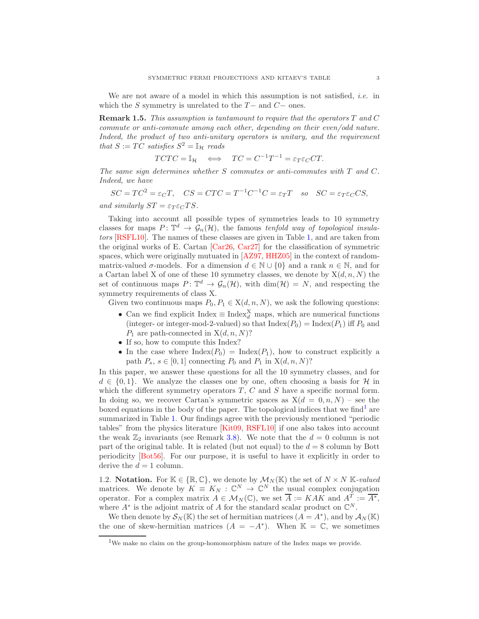We are not aware of a model in which this assumption is not satisfied, *i.e.* in which the S symmetry is unrelated to the  $T-$  and  $C-$  ones.

**Remark 1.5.** This assumption is tantamount to require that the operators  $T$  and  $C$ commute or anti-commute among each other, depending on their even/odd nature. Indeed, the product of two anti-unitary operators is unitary, and the requirement that  $S := TC$  satisfies  $S^2 = \mathbb{I}_{\mathcal{H}}$  reads

$$
TCTC = \mathbb{I}_{\mathcal{H}} \iff TC = C^{-1}T^{-1} = \varepsilon_T \varepsilon_C CT.
$$

The same sign determines whether  $S$  commutes or anti-commutes with  $T$  and  $C$ . Indeed, we have

$$
SC = TC^2 = \varepsilon_C T, \quad CS = CTC = T^{-1}C^{-1}C = \varepsilon_T T \quad so \quad SC = \varepsilon_T \varepsilon_C CS,
$$

and similarly  $ST = \varepsilon_T \varepsilon_C TS$ .

Taking into account all possible types of symmetries leads to 10 symmetry classes for maps  $P: \mathbb{T}^d \to \mathcal{G}_n(\mathcal{H})$ , the famous tenfold way of topological insulators [\[RSFL10\]](#page-21-8). The names of these classes are given in Table [1,](#page-3-0) and are taken from the original works of E. Cartan [\[Car26,](#page-20-1) [Car27\]](#page-20-2) for the classification of symmetric spaces, which were originally mutuated in [\[AZ97,](#page-20-3) [HHZ05\]](#page-21-1) in the context of randommatrix-valued  $\sigma$ -models. For a dimension  $d \in \mathbb{N} \cup \{0\}$  and a rank  $n \in \mathbb{N}$ , and for a Cartan label X of one of these 10 symmetry classes, we denote by  $X(d, n, N)$  the set of continuous maps  $P: \mathbb{T}^d \to \mathcal{G}_n(\mathcal{H}),$  with  $\dim(\mathcal{H}) = N$ , and respecting the symmetry requirements of class X.

Given two continuous maps  $P_0, P_1 \in X(d, n, N)$ , we ask the following questions:

- Can we find explicit Index  $\equiv$  Index $_{d}^{X}$  maps, which are numerical functions (integer- or integer-mod-2-valued) so that  $\text{Index}(P_0) = \text{Index}(P_1)$  iff  $P_0$  and  $P_1$  are path-connected in  $X(d, n, N)$ ?
- If so, how to compute this Index?
- In the case where  $\text{Index}(P_0) = \text{Index}(P_1)$ , how to construct explicitly a path  $P_s$ ,  $s \in [0, 1]$  connecting  $P_0$  and  $P_1$  in  $X(d, n, N)$ ?

In this paper, we answer these questions for all the 10 symmetry classes, and for  $d \in \{0,1\}$ . We analyze the classes one by one, often choosing a basis for H in which the different symmetry operators  $T, C$  and  $S$  have a specific normal form. In doing so, we recover Cartan's symmetric spaces as  $X(d = 0, n, N)$  – see the boxed equations in the body of the paper. The topological indices that we find<sup>[1](#page-2-0)</sup> are summarized in Table [1.](#page-3-0) Our findings agree with the previously mentioned "periodic tables" from the physics literature [\[Kit09,](#page-21-0) [RSFL10\]](#page-21-8) if one also takes into account the weak  $\mathbb{Z}_2$  invariants (see Remark [3.8\)](#page-9-0). We note that the  $d = 0$  column is not part of the original table. It is related (but not equal) to the  $d = 8$  column by Bott periodicity [\[Bot56\]](#page-20-4). For our purpose, it is useful to have it explicitly in order to derive the  $d = 1$  column.

1.2. Notation. For  $\mathbb{K} \in \{\mathbb{R}, \mathbb{C}\},$  we denote by  $\mathcal{M}_N(\mathbb{K})$  the set of  $N \times N$  K-valued matrices. We denote by  $K \equiv K_N : \mathbb{C}^N \to \mathbb{C}^N$  the usual complex conjugation operator. For a complex matrix  $A \in \mathcal{M}_N(\mathbb{C})$ , we set  $\overline{A} := KAK$  and  $A^T := \overline{A^*}$ , where  $A^*$  is the adjoint matrix of A for the standard scalar product on  $\mathbb{C}^N$ .

We then denote by  $\mathcal{S}_N(\mathbb{K})$  the set of hermitian matrices  $(A = A^*)$ , and by  $\mathcal{A}_N(\mathbb{K})$ the one of skew-hermitian matrices  $(A = -A^*)$ . When  $\mathbb{K} = \mathbb{C}$ , we sometimes

<span id="page-2-0"></span><sup>1</sup>We make no claim on the group-homomorphism nature of the Index maps we provide.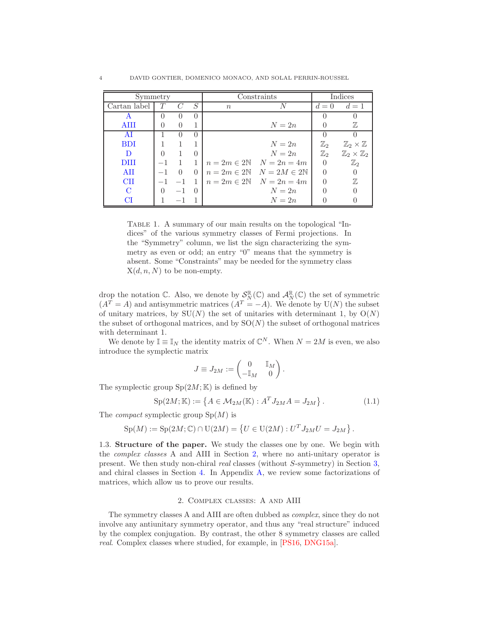<span id="page-3-0"></span>

| Symmetry     |                  |           |                  | Constraints |                                             | Indices        |                                  |
|--------------|------------------|-----------|------------------|-------------|---------------------------------------------|----------------|----------------------------------|
| Cartan label |                  |           | S                | $n_{\rm c}$ | N                                           | $d=0$          | $d=1$                            |
|              | $\left( \right)$ | $\Box$    | $\left( \right)$ |             |                                             |                |                                  |
| <b>AIII</b>  | $\Omega$         | $\bigcap$ |                  |             | $N=2n$                                      |                | 77,                              |
| AI           |                  |           | $\Omega$         |             |                                             |                |                                  |
| <b>BDI</b>   |                  |           |                  |             | $N=2n$                                      | $\mathbb{Z}_2$ | $\mathbb{Z}_2\times \mathbb{Z}$  |
| D            | $\Omega$         |           | $\left( \right)$ |             | $N=2n$                                      | $\mathbb{Z}_2$ | $\mathbb{Z}_2\times\mathbb{Z}_2$ |
| DHI          |                  |           |                  |             | $n=2m\in 2\mathbb{N}$ $N=2n=4m$             | $\Omega$       | $\mathbb{Z}_2$                   |
| AII          |                  | $\Omega$  | $\left( \right)$ |             | $n=2m\in 2\mathbb{N}$ $N=2M\in 2\mathbb{N}$ | $\Omega$       |                                  |
| <b>CH</b>    |                  | $-1$      |                  |             | $n = 2m \in 2N$ $N = 2n = 4m$               |                | 77,                              |
| C            | $\Omega$         | $-1$      | $\left( \right)$ |             | $N=2n$                                      |                |                                  |
| CI           |                  | $-1$      |                  |             | $N=2n$                                      |                |                                  |

TABLE 1. A summary of our main results on the topological "Indices" of the various symmetry classes of Fermi projections. In the "Symmetry" column, we list the sign characterizing the symmetry as even or odd; an entry "0" means that the symmetry is absent. Some "Constraints" may be needed for the symmetry class  $X(d, n, N)$  to be non-empty.

drop the notation C. Also, we denote by  $\mathcal{S}_N^{\mathbb{R}}(\mathbb{C})$  and  $\mathcal{A}_N^{\mathbb{R}}(\mathbb{C})$  the set of symmetric  $(A<sup>T</sup> = A)$  and antisymmetric matrices  $(A<sup>T</sup> = -A)$ . We denote by U(N) the subset of unitary matrices, by  $SU(N)$  the set of unitaries with determinant 1, by  $O(N)$ the subset of orthogonal matrices, and by  $SO(N)$  the subset of orthogonal matrices with determinant 1.

We denote by  $\mathbb{I} \equiv \mathbb{I}_N$  the identity matrix of  $\mathbb{C}^N$ . When  $N = 2M$  is even, we also introduce the symplectic matrix

$$
J \equiv J_{2M} := \begin{pmatrix} 0 & \mathbb{I}_M \\ -\mathbb{I}_M & 0 \end{pmatrix}.
$$

The symplectic group  $Sp(2M;\mathbb{K})$  is defined by

$$
Sp(2M; \mathbb{K}) := \left\{ A \in \mathcal{M}_{2M}(\mathbb{K}) : A^T J_{2M} A = J_{2M} \right\}.
$$
 (1.1)

The *compact* symplectic group  $Sp(M)$  is

$$
Sp(M) := Sp(2M; \mathbb{C}) \cap U(2M) = \{ U \in U(2M) : U^T J_{2M} U = J_{2M} \}.
$$

1.3. Structure of the paper. We study the classes one by one. We begin with the complex classes A and AIII in Section [2,](#page-3-1) where no anti-unitary operator is present. We then study non-chiral real classes (without S-symmetry) in Section [3,](#page-6-1) and chiral classes in Section [4.](#page-11-1) In Appendix [A,](#page-17-0) we review some factorizations of matrices, which allow us to prove our results.

# 2. Complex classes: A and AIII

<span id="page-3-1"></span>The symmetry classes A and AIII are often dubbed as complex, since they do not involve any antiunitary symmetry operator, and thus any "real structure" induced by the complex conjugation. By contrast, the other 8 symmetry classes are called real. Complex classes where studied, for example, in [\[PS16,](#page-21-6) [DNG15a\]](#page-21-9).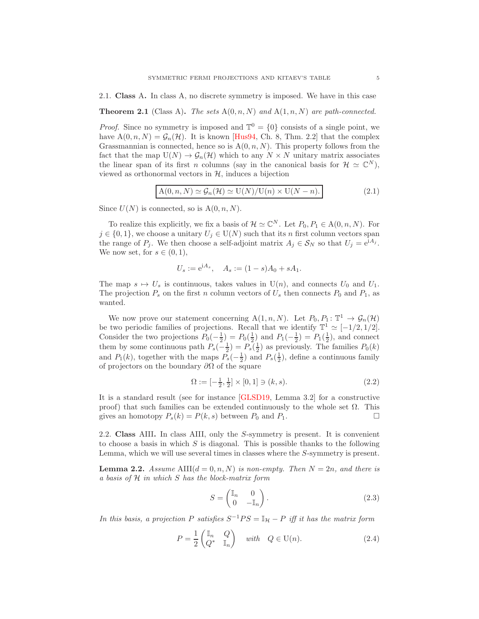<span id="page-4-0"></span>2.1. Class A. In class A, no discrete symmetry is imposed. We have in this case

<span id="page-4-6"></span>**Theorem 2.1** (Class A). The sets  $A(0, n, N)$  and  $A(1, n, N)$  are path-connected.

*Proof.* Since no symmetry is imposed and  $\mathbb{T}^0 = \{0\}$  consists of a single point, we have  $A(0, n, N) = G_n(\mathcal{H})$ . It is known [\[Hus94,](#page-21-10) Ch. 8, Thm. 2.2] that the complex Grassmannian is connected, hence so is  $A(0, n, N)$ . This property follows from the fact that the map  $U(N) \to \mathcal{G}_n(\mathcal{H})$  which to any  $N \times N$  unitary matrix associates the linear span of its first *n* columns (say in the canonical basis for  $\mathcal{H} \simeq \mathbb{C}^N$ ), viewed as orthonormal vectors in  $H$ , induces a bijection

<span id="page-4-5"></span>
$$
A(0, n, N) \simeq \mathcal{G}_n(\mathcal{H}) \simeq U(N)/U(n) \times U(N - n). \tag{2.1}
$$

Since  $U(N)$  is connected, so is  $A(0, n, N)$ .

To realize this explicitly, we fix a basis of  $\mathcal{H} \simeq \mathbb{C}^N$ . Let  $P_0, P_1 \in A(0, n, N)$ . For  $j \in \{0,1\}$ , we choose a unitary  $U_j \in U(N)$  such that its n first column vectors span the range of  $P_j$ . We then choose a self-adjoint matrix  $A_j \in S_N$  so that  $U_j = e^{iA_j}$ . We now set, for  $s \in (0,1)$ ,

$$
U_s := e^{iA_s}, \quad A_s := (1 - s)A_0 + sA_1.
$$

The map  $s \mapsto U_s$  is continuous, takes values in  $U(n)$ , and connects  $U_0$  and  $U_1$ . The projection  $P_s$  on the first n column vectors of  $U_s$  then connects  $P_0$  and  $P_1$ , as wanted.

We now prove our statement concerning  $A(1, n, N)$ . Let  $P_0, P_1: \mathbb{T}^1 \to \mathcal{G}_n(\mathcal{H})$ be two periodic families of projections. Recall that we identify  $\mathbb{T}^1 \simeq [-1/2, 1/2]$ . Consider the two projections  $P_0(-\frac{1}{2}) = P_0(\frac{1}{2})$  and  $P_1(-\frac{1}{2}) = P_1(\frac{1}{2})$ , and connect them by some continuous path  $P_s(-\frac{1}{2}) = P_s(\frac{1}{2})$  as previously. The families  $P_0(k)$ and  $P_1(k)$ , together with the maps  $P_s(-\frac{1}{2})$  and  $P_s(\frac{1}{2})$ , define a continuous family of projectors on the boundary  $\partial\Omega$  of the square

<span id="page-4-4"></span>
$$
\Omega := \left[ -\frac{1}{2}, \frac{1}{2} \right] \times [0, 1] \ni (k, s). \tag{2.2}
$$

It is a standard result (see for instance [\[GLSD19,](#page-21-11) Lemma 3.2] for a constructive proof) that such families can be extended continuously to the whole set  $\Omega$ . This gives an homotopy  $P_s(k) = P(k, s)$  between  $P_0$  and  $P_1$ .

<span id="page-4-1"></span>2.2. Class AIII. In class AIII, only the S-symmetry is present. It is convenient to choose a basis in which  $S$  is diagonal. This is possible thanks to the following Lemma, which we will use several times in classes where the S-symmetry is present.

<span id="page-4-7"></span>**Lemma 2.2.** Assume AIII $(d = 0, n, N)$  is non-empty. Then  $N = 2n$ , and there is a basis of H in which S has the block-matrix form

<span id="page-4-2"></span>
$$
S = \begin{pmatrix} \mathbb{I}_n & 0 \\ 0 & -\mathbb{I}_n \end{pmatrix} . \tag{2.3}
$$

In this basis, a projection P satisfies  $S^{-1}PS = \mathbb{I}_{\mathcal{H}} - P$  iff it has the matrix form

<span id="page-4-3"></span>
$$
P = \frac{1}{2} \begin{pmatrix} \mathbb{I}_n & Q \\ Q^* & \mathbb{I}_n \end{pmatrix} \quad \text{with} \quad Q \in \mathcal{U}(n). \tag{2.4}
$$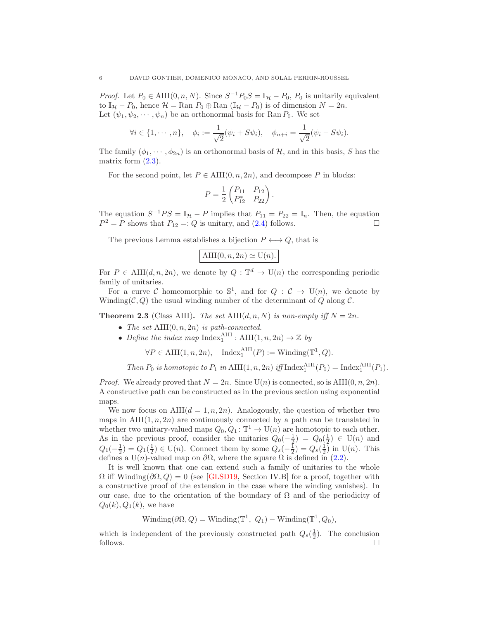*Proof.* Let  $P_0 \in \text{AIII}(0, n, N)$ . Since  $S^{-1}P_0S = \mathbb{I}_{\mathcal{H}} - P_0$ ,  $P_0$  is unitarily equivalent to  $\mathbb{I}_{\mathcal{H}} - P_0$ , hence  $\mathcal{H} = \text{Ran } P_0 \oplus \text{Ran } (\mathbb{I}_{\mathcal{H}} - P_0)$  is of dimension  $N = 2n$ . Let  $(\psi_1, \psi_2, \dots, \psi_n)$  be an orthonormal basis for Ran  $P_0$ . We set

$$
\forall i \in \{1, \cdots, n\}, \quad \phi_i := \frac{1}{\sqrt{2}}(\psi_i + S\psi_i), \quad \phi_{n+i} = \frac{1}{\sqrt{2}}(\psi_i - S\psi_i).
$$

The family  $(\phi_1, \dots, \phi_{2n})$  is an orthonormal basis of H, and in this basis, S has the matrix form  $(2.3)$ .

For the second point, let  $P \in \text{AIII}(0, n, 2n)$ , and decompose P in blocks:

$$
P = \frac{1}{2} \begin{pmatrix} P_{11} & P_{12} \\ P_{12}^* & P_{22} \end{pmatrix}.
$$

The equation  $S^{-1}PS = \mathbb{I}_{\mathcal{H}} - P$  implies that  $P_{11} = P_{22} = \mathbb{I}_n$ . Then, the equation  $P^2 = P$  shows that  $P_{12} =: Q$  is unitary, and [\(2.4\)](#page-4-3) follows.

The previous Lemma establishes a bijection  $P \longleftrightarrow Q$ , that is

$$
AIII(0, n, 2n) \simeq U(n).
$$

For  $P \in$  AIII $(d, n, 2n)$ , we denote by  $Q : \mathbb{T}^d \to U(n)$  the corresponding periodic family of unitaries.

For a curve C homeomorphic to  $\mathbb{S}^1$ , and for  $Q: \mathcal{C} \to U(n)$ , we denote by Winding( $C, Q$ ) the usual winding number of the determinant of  $Q$  along  $C$ .

**Theorem 2.3** (Class AIII). The set AIII $(d, n, N)$  is non-empty iff  $N = 2n$ .

- The set  $\text{AIII}(0, n, 2n)$  is path-connected.
- Define the index map Index<sup>AIII</sup>: AIII $(1, n, 2n) \rightarrow \mathbb{Z}$  by

$$
\forall P \in \text{AIII}(1, n, 2n), \quad \text{Index}_1^{\text{AIII}}(P) := \text{Winding}(\mathbb{T}^1, Q).
$$

Then 
$$
P_0
$$
 is homotopic to  $P_1$  in  $\text{AIII}(1, n, 2n)$  iff  $\text{Index}_1^{\text{AIII}}(P_0) = \text{Index}_1^{\text{AIII}}(P_1)$ .

*Proof.* We already proved that  $N = 2n$ . Since  $U(n)$  is connected, so is AIII $(0, n, 2n)$ . A constructive path can be constructed as in the previous section using exponential maps.

We now focus on  $\text{AIII}(d = 1, n, 2n)$ . Analogously, the question of whether two maps in  $\text{AIII}(1, n, 2n)$  are continuously connected by a path can be translated in whether two unitary-valued maps  $Q_0, Q_1: \mathbb{T}^1 \to U(n)$  are homotopic to each other. As in the previous proof, consider the unitaries  $Q_0(-\frac{1}{2}) = Q_0(\frac{1}{2}) \in U(n)$  and  $Q_1(-\frac{1}{2}) = Q_1(\frac{1}{2}) \in U(n)$ . Connect them by some  $Q_s(-\frac{1}{2}) = Q_s(\frac{1}{2})$  in  $U(n)$ . This defines a U(n)-valued map on  $\partial\Omega$ , where the square  $\Omega$  is defined in [\(2.2\)](#page-4-4).

It is well known that one can extend such a family of unitaries to the whole  $\Omega$  iff Winding( $\partial\Omega$ ,  $Q$ ) = 0 (see [\[GLSD19,](#page-21-11) Section IV.B] for a proof, together with a constructive proof of the extension in the case where the winding vanishes). In our case, due to the orientation of the boundary of  $\Omega$  and of the periodicity of  $Q_0(k), Q_1(k)$ , we have

Winding( $\partial\Omega, Q$ ) = Winding( $\mathbb{T}^1, Q_1$ ) – Winding( $\mathbb{T}^1, Q_0$ ),

which is independent of the previously constructed path  $Q_s(\frac{1}{2})$ . The conclusion follows.  $\Box$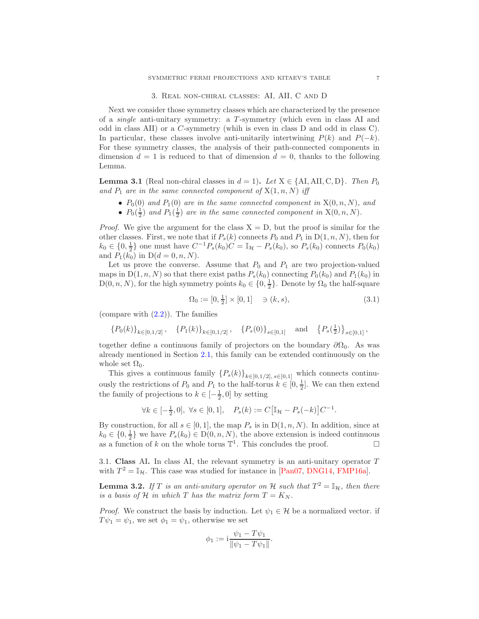#### 3. Real non-chiral classes: AI, AII, C and D

<span id="page-6-1"></span>Next we consider those symmetry classes which are characterized by the presence of a single anti-unitary symmetry: a T -symmetry (which even in class AI and odd in class AII) or a C-symmetry (whih is even in class D and odd in class C). In particular, these classes involve anti-unitarily intertwining  $P(k)$  and  $P(-k)$ . For these symmetry classes, the analysis of their path-connected components in dimension  $d = 1$  is reduced to that of dimension  $d = 0$ , thanks to the following Lemma.

<span id="page-6-2"></span>**Lemma 3.1** (Real non-chiral classes in  $d = 1$ ). Let  $X \in \{AI, All, C, D\}$ . Then  $P_0$ and  $P_1$  are in the same connected component of  $X(1, n, N)$  iff

- $P_0(0)$  and  $P_1(0)$  are in the same connected component in  $X(0, n, N)$ , and
- $P_0(\frac{1}{2})$  and  $P_1(\frac{1}{2})$  are in the same connected component in  $X(0, n, N)$ .

*Proof.* We give the argument for the class  $X = D$ , but the proof is similar for the other classes. First, we note that if  $P_s(k)$  connects  $P_0$  and  $P_1$  in  $D(1, n, N)$ , then for  $k_0 \in \{0, \frac{1}{2}\}$  one must have  $C^{-1}P_s(k_0)C = \mathbb{I}_{\mathcal{H}} - P_s(k_0)$ , so  $P_s(k_0)$  connects  $P_0(k_0)$ and  $P_1(k_0)$  in  $D(d = 0, n, N)$ .

Let us prove the converse. Assume that  $P_0$  and  $P_1$  are two projection-valued maps in  $D(1, n, N)$  so that there exist paths  $P_s(k_0)$  connecting  $P_0(k_0)$  and  $P_1(k_0)$  in  $D(0, n, N)$ , for the high symmetry points  $k_0 \in \{0, \frac{1}{2}\}$ . Denote by  $\Omega_0$  the half-square

<span id="page-6-4"></span>
$$
\Omega_0 := [0, \frac{1}{2}] \times [0, 1] \quad \ni (k, s), \tag{3.1}
$$

(compare with  $(2.2)$ ). The families

$$
\{P_0(k)\}_{k\in[0,1/2]},\quad \{P_1(k)\}_{k\in[0,1/2]},\quad \{P_s(0)\}_{s\in[0,1]}\quad \text{and}\quad \{P_s(\tfrac{1}{2})\}_{s\in[0,1]},
$$

together define a continuous family of projectors on the boundary  $\partial\Omega_0$ . As was already mentioned in Section [2.1,](#page-4-0) this family can be extended continuously on the whole set  $\Omega_0$ .

This gives a continuous family  $\{P_s(k)\}_{k\in[0,1/2], s\in[0,1]}$  which connects continuously the restrictions of  $P_0$  and  $P_1$  to the half-torus  $k \in [0, \frac{1}{2}]$ . We can then extend the family of projections to  $k \in [-\frac{1}{2}, 0]$  by setting

$$
\forall k \in [-\frac{1}{2}, 0], \ \forall s \in [0, 1], \quad P_s(k) := C[\mathbb{I}_{\mathcal{H}} - P_s(-k)]C^{-1}.
$$

By construction, for all  $s \in [0, 1]$ , the map  $P_s$  is in  $D(1, n, N)$ . In addition, since at  $k_0 \in \{0, \frac{1}{2}\}$  we have  $P_s(k_0) \in D(0, n, N)$ , the above extension is indeed continuous as a function of k on the whole torus  $\mathbb{T}^1$ . This concludes the proof.

<span id="page-6-0"></span>3.1. Class AI. In class AI, the relevant symmetry is an anti-unitary operator T with  $T^2 = \mathbb{I}_{\mathcal{H}}$ . This case was studied for instance in [\[Pan07,](#page-21-12) [DNG14,](#page-20-5) [FMP16a\]](#page-21-13).

<span id="page-6-3"></span>**Lemma 3.2.** If T is an anti-unitary operator on H such that  $T^2 = \mathbb{I}_{\mathcal{H}}$ , then there is a basis of H in which T has the matrix form  $T = K_N$ .

*Proof.* We construct the basis by induction. Let  $\psi_1 \in \mathcal{H}$  be a normalized vector. if  $T\psi_1 = \psi_1$ , we set  $\phi_1 = \psi_1$ , otherwise we set

$$
\phi_1 := i \frac{\psi_1 - T \psi_1}{\|\psi_1 - T \psi_1\|}.
$$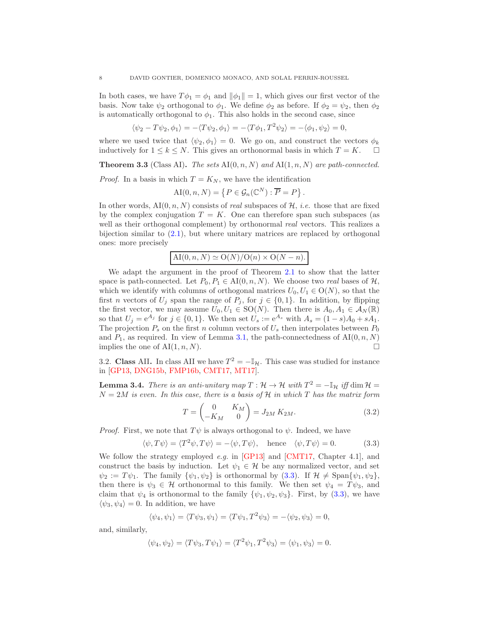In both cases, we have  $T\phi_1 = \phi_1$  and  $\|\phi_1\| = 1$ , which gives our first vector of the basis. Now take  $\psi_2$  orthogonal to  $\phi_1$ . We define  $\phi_2$  as before. If  $\phi_2 = \psi_2$ , then  $\phi_2$ is automatically orthogonal to  $\phi_1$ . This also holds in the second case, since

 $\langle \psi_2 - T \psi_2, \phi_1 \rangle = -\langle T \psi_2, \phi_1 \rangle = -\langle T \phi_1, T^2 \psi_2 \rangle = -\langle \phi_1, \psi_2 \rangle = 0,$ 

where we used twice that  $\langle \psi_2, \phi_1 \rangle = 0$ . We go on, and construct the vectors  $\phi_k$  inductively for  $1 \leq k \leq N$ . This gives an orthonormal basis in which  $T = K$ .  $\Box$ inductively for  $1 \leq k \leq N$ . This gives an orthonormal basis in which  $T = K$ .

<span id="page-7-3"></span>**Theorem 3.3** (Class AI). The sets  $A I(0, n, N)$  and  $A I(1, n, N)$  are path-connected.

*Proof.* In a basis in which  $T = K_N$ , we have the identification

$$
AI(0, n, N) = \{ P \in \mathcal{G}_n(\mathbb{C}^N) : \overline{P} = P \}.
$$

In other words,  $\text{AI}(0, n, N)$  consists of real subspaces of  $H$ , *i.e.* those that are fixed by the complex conjugation  $T = K$ . One can therefore span such subspaces (as well as their orthogonal complement) by orthonormal *real* vectors. This realizes a bijection similar to [\(2.1\)](#page-4-5), but where unitary matrices are replaced by orthogonal ones: more precisely

$$
AI(0, n, N) \simeq O(N)/O(n) \times O(N - n).
$$

We adapt the argument in the proof of Theorem [2.1](#page-4-6) to show that the latter space is path-connected. Let  $P_0, P_1 \in AI(0, n, N)$ . We choose two real bases of  $H$ , which we identify with columns of orthogonal matrices  $U_0, U_1 \in O(N)$ , so that the first *n* vectors of  $U_j$  span the range of  $P_j$ , for  $j \in \{0,1\}$ . In addition, by flipping the first vector, we may assume  $U_0, U_1 \in SO(N)$ . Then there is  $A_0, A_1 \in \mathcal{A}_N(\mathbb{R})$ so that  $U_j = e^{A_j}$  for  $j \in \{0, 1\}$ . We then set  $U_s := e^{A_s}$  with  $A_s = (1 - s)A_0 + sA_1$ . The projection  $P_s$  on the first n column vectors of  $U_s$  then interpolates between  $P_0$ and  $P_1$ , as required. In view of Lemma [3.1,](#page-6-2) the path-connectedness of  $\mathrm{AI}(0, n, N)$ implies the one of  $A I(1, n, N)$ .

<span id="page-7-0"></span>3.2. Class AII. In class AII we have  $T^2 = -\mathbb{I}_{\mathcal{H}}$ . This case was studied for instance in [\[GP13,](#page-21-14) [DNG15b,](#page-21-15) [FMP16b,](#page-21-16) [CMT17,](#page-20-6) [MT17\]](#page-21-17).

<span id="page-7-4"></span>**Lemma 3.4.** There is an anti-unitary map  $T : \mathcal{H} \to \mathcal{H}$  with  $T^2 = -\mathbb{I}_{\mathcal{H}}$  iff  $\dim \mathcal{H} =$  $N = 2M$  is even. In this case, there is a basis of H in which T has the matrix form

<span id="page-7-2"></span>
$$
T = \begin{pmatrix} 0 & K_M \\ -K_M & 0 \end{pmatrix} = J_{2M} K_{2M}.
$$
 (3.2)

*Proof.* First, we note that  $T\psi$  is always orthogonal to  $\psi$ . Indeed, we have

<span id="page-7-1"></span>
$$
\langle \psi, T\psi \rangle = \langle T^2 \psi, T\psi \rangle = -\langle \psi, T\psi \rangle, \quad \text{hence} \quad \langle \psi, T\psi \rangle = 0. \tag{3.3}
$$

We follow the strategy employed e.g. in [\[GP13\]](#page-21-14) and [\[CMT17,](#page-20-6) Chapter 4.1], and construct the basis by induction. Let  $\psi_1 \in \mathcal{H}$  be any normalized vector, and set  $\psi_2 := T\psi_1$ . The family  $\{\psi_1, \psi_2\}$  is orthonormal by [\(3.3\)](#page-7-1). If  $\mathcal{H} \neq \text{Span}\{\psi_1, \psi_2\}$ , then there is  $\psi_3 \in \mathcal{H}$  orthonormal to this family. We then set  $\psi_4 = T\psi_3$ , and claim that  $\psi_4$  is orthonormal to the family  $\{\psi_1, \psi_2, \psi_3\}$ . First, by [\(3.3\)](#page-7-1), we have  $\langle \psi_3, \psi_4 \rangle = 0$ . In addition, we have

$$
\langle \psi_4, \psi_1 \rangle = \langle T\psi_3, \psi_1 \rangle = \langle T\psi_1, T^2\psi_3 \rangle = -\langle \psi_2, \psi_3 \rangle = 0,
$$

and, similarly,

$$
\langle \psi_4, \psi_2 \rangle = \langle T\psi_3, T\psi_1 \rangle = \langle T^2\psi_1, T^2\psi_3 \rangle = \langle \psi_1, \psi_3 \rangle = 0.
$$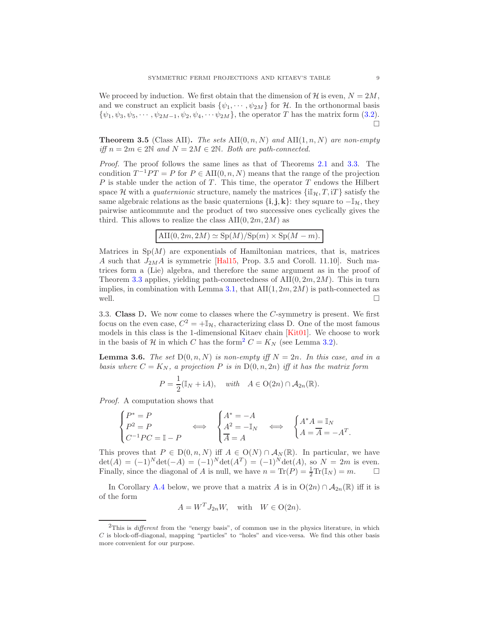We proceed by induction. We first obtain that the dimension of H is even,  $N = 2M$ , and we construct an explicit basis  $\{\psi_1, \cdots, \psi_{2M}\}$  for H. In the orthonormal basis  $\{\psi_1, \psi_3, \psi_5, \cdots, \psi_{2M-1}, \psi_2, \psi_4, \cdots, \psi_{2M}\},$  the operator T has the matrix form [\(3.2\)](#page-7-2).  $\Box$ 

<span id="page-8-2"></span>**Theorem 3.5** (Class AII). The sets  $\text{AII}(0, n, N)$  and  $\text{AII}(1, n, N)$  are non-empty iff  $n = 2m \in 2\mathbb{N}$  and  $N = 2M \in 2\mathbb{N}$ . Both are path-connected.

Proof. The proof follows the same lines as that of Theorems [2.1](#page-4-6) and [3.3.](#page-7-3) The condition  $T^{-1}PT = P$  for  $P \in \text{AII}(0, n, N)$  means that the range of the projection  $P$  is stable under the action of  $T$ . This time, the operator  $T$  endows the Hilbert space H with a quaternionic structure, namely the matrices  $\{\Pi_{\mathcal{H}}, T, iT\}$  satisfy the same algebraic relations as the basic quaternions  $\{i, j, k\}$ : they square to  $-\mathbb{I}_{\mathcal{H}}$ , they pairwise anticommute and the product of two successive ones cyclically gives the third. This allows to realize the class  $\text{AII}(0, 2m, 2M)$  as

$$
\mathrm{AII}(0, 2m, 2M) \simeq \mathrm{Sp}(M)/\mathrm{Sp}(m) \times \mathrm{Sp}(M-m).
$$

Matrices in  $Sp(M)$  are exponentials of Hamiltonian matrices, that is, matrices A such that  $J_{2M}A$  is symmetric [\[Hal15,](#page-21-18) Prop. 3.5 and Coroll. 11.10]. Such matrices form a (Lie) algebra, and therefore the same argument as in the proof of Theorem [3.3](#page-7-3) applies, yielding path-connectedness of  $\text{AI}(0, 2m, 2M)$ . This in turn implies, in combination with Lemma [3.1,](#page-6-2) that  $\text{AII}(1, 2m, 2M)$  is path-connected as well.  $\Box$ 

<span id="page-8-0"></span>3.3. Class D. We now come to classes where the C-symmetry is present. We first focus on the even case,  $C^2 = +\mathbb{I}_{\mathcal{H}}$ , characterizing class D. One of the most famous models in this class is the 1-dimensional Kitaev chain [\[Kit01\]](#page-21-19). We choose to work in the basis of H in which C has the form<sup>[2](#page-8-1)</sup>  $C = K_N$  (see Lemma [3.2\)](#page-6-3).

**Lemma 3.6.** The set  $D(0, n, N)$  is non-empty iff  $N = 2n$ . In this case, and in a basis where  $C = K_N$ , a projection P is in  $D(0, n, 2n)$  iff it has the matrix form

$$
P = \frac{1}{2}(\mathbb{I}_N + \mathrm{i}A), \quad \text{with} \quad A \in \mathrm{O}(2n) \cap \mathcal{A}_{2n}(\mathbb{R}).
$$

Proof. A computation shows that

$$
\begin{cases} P^* = P \\ P^2 = P \\ C^{-1}PC = \mathbb{I} - P \end{cases} \Longleftrightarrow \begin{cases} A^* = -A \\ A^2 = -\mathbb{I}_N \\ \overline{A} = A \end{cases} \Longleftrightarrow \begin{cases} A^*A = \mathbb{I}_N \\ A = \overline{A} = -A^T. \end{cases}
$$

This proves that  $P \in D(0, n, N)$  iff  $A \in O(N) \cap \mathcal{A}_N(\mathbb{R})$ . In particular, we have  $\det(A) = (-1)^N \det(-A) = (-1)^N \det(A^T) = (-1)^N \det(A)$ , so  $N = 2m$  is even. Finally, since the diagonal of A is null, we have  $n = \text{Tr}(P) = \frac{1}{2}\text{Tr}(\mathbb{I}_N) = m$ .  $\Box$ 

In Corollary [A.4](#page-19-0) below, we prove that a matrix A is in  $O(2n) \cap A_{2n}(\mathbb{R})$  iff it is of the form

 $A = W^T J_{2n} W$ , with  $W \in O(2n)$ .

<span id="page-8-1"></span> $2$ This is *different* from the "energy basis", of common use in the physics literature, in which  $C$  is block-off-diagonal, mapping "particles" to "holes" and vice-versa. We find this other basis more convenient for our purpose.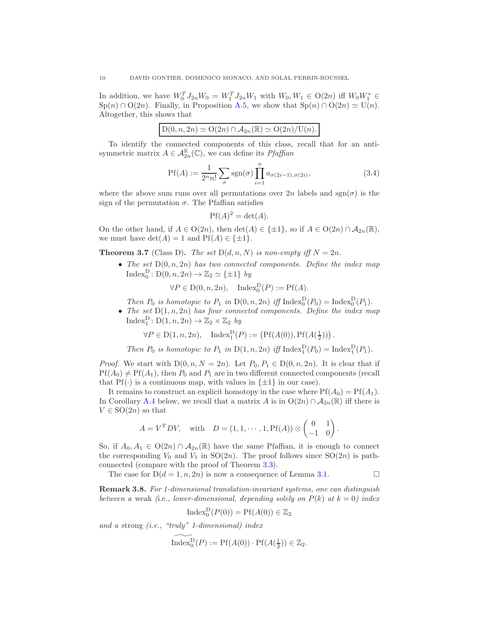In addition, we have  $W_0^T J_{2n} W_0 = W_1^T J_{2n} W_1$  with  $W_0, W_1 \in O(2n)$  iff  $W_0 W_1^* \in$  $\text{Sp}(n) \cap \text{O}(2n)$ . Finally, in Proposition [A.5,](#page-20-7) we show that  $\text{Sp}(n) \cap \text{O}(2n) \simeq \text{U}(n)$ . Altogether, this shows that

| $D(0, n, 2n) \simeq O(2n) \cap \mathcal{A}_{2n}(\mathbb{R}) \simeq O(2n)/U(n).$ |
|---------------------------------------------------------------------------------|
|---------------------------------------------------------------------------------|

To identify the connected components of this class, recall that for an antisymmetric matrix  $A \in \mathcal{A}_{2n}^{\mathbb{R}}(\mathbb{C})$ , we can define its *Pfaffian* 

$$
\Pr(A) := \frac{1}{2^n n!} \sum_{\sigma} \text{sgn}(\sigma) \prod_{i=1}^n a_{\sigma(2i-1), \sigma(2i)},
$$
\n(3.4)

where the above sum runs over all permutations over  $2n$  labels and  $sgn(\sigma)$  is the sign of the permutation  $\sigma$ . The Pfaffian satisfies

$$
Pf(A)^2 = \det(A).
$$

On the other hand, if  $A \in O(2n)$ , then  $\det(A) \in {\pm 1}$ , so if  $A \in O(2n) \cap \mathcal{A}_{2n}(\mathbb{R})$ , we must have  $\det(A) = 1$  and  $Pf(A) \in \{\pm 1\}.$ 

**Theorem 3.7** (Class D). The set  $D(d, n, N)$  is non-empty iff  $N = 2n$ .

• The set  $D(0, n, 2n)$  has two connected components. Define the index map Index<sub>0</sub><sup>D</sup>:  $D(0, n, 2n) \rightarrow \mathbb{Z}_2 \simeq {\{\pm 1\}}$  by

 $\forall P \in D(0, n, 2n)$ , Index $_D^D(P) := Pf(A)$ .

Then  $P_0$  is homotopic to  $P_1$  in  $D(0, n, 2n)$  iff Index $_D^D(P_0) = \text{Index}_0^D(P_1)$ .

• The set  $D(1, n, 2n)$  has four connected components. Define the index map Index<sup>D</sup>:  $D(1, n, 2n) \rightarrow \mathbb{Z}_2 \times \mathbb{Z}_2$  by

 $\forall P \in D(1, n, 2n)$ ,  $\text{Index}_{1}^{D}(P) := (\text{Pf}(A(0)), \text{Pf}(A(\frac{1}{2})))$ .

Then  $P_0$  is homotopic to  $P_1$  in  $D(1, n, 2n)$  iff Index $_1^D(P_0) = \text{Index}_1^D(P_1)$ .

*Proof.* We start with  $D(0, n, N = 2n)$ . Let  $P_0, P_1 \in D(0, n, 2n)$ . It is clear that if  $Pf(A_0) \neq Pf(A_1)$ , then  $P_0$  and  $P_1$  are in two different connected components (recall that  $Pf(\cdot)$  is a continuous map, with values in  $\{\pm 1\}$  in our case).

It remains to construct an explicit homotopy in the case where  $Pf(A_0) = Pf(A_1)$ . In Corollary [A.4](#page-19-0) below, we recall that a matrix A is in  $O(2n) \cap A_{2n}(\mathbb{R})$  iff there is  $V \in SO(2n)$  so that

$$
A = V^T D V, \quad \text{with} \quad D = (1, 1, \cdots, 1, \text{Pf}(A)) \otimes \begin{pmatrix} 0 & 1 \\ -1 & 0 \end{pmatrix}.
$$

So, if  $A_0, A_1 \in O(2n) \cap A_{2n}(\mathbb{R})$  have the same Pfaffian, it is enough to connect the corresponding  $V_0$  and  $V_1$  in  $SO(2n)$ . The proof follows since  $SO(2n)$  is pathconnected (compare with the proof of Theorem [3.3\)](#page-7-3).

The case for  $D(d = 1, n, 2n)$  is now a consequence of Lemma [3.1.](#page-6-2)

<span id="page-9-0"></span>Remark 3.8. For 1-dimensional translation-invariant systems, one can distinguish between a weak (i.e., lower-dimensional, depending solely on  $P(k)$  at  $k = 0$ ) index

$$
\mathrm{Index}_0^{\mathrm{D}}(P(0)) = \mathrm{Pf}(A(0)) \in \mathbb{Z}_2
$$

and a strong (i.e., "truly" 1-dimensional) index

$$
\widetilde{\mathrm{Index}^{\mathrm{D}}_0(P)} := \mathrm{Pf}(A(0)) \cdot \mathrm{Pf}(A(\tfrac{1}{2})) \in \mathbb{Z}_2.
$$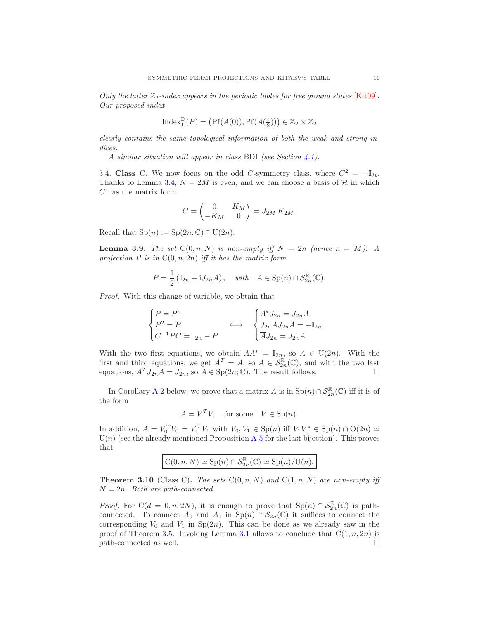Only the latter  $\mathbb{Z}_2$ -index appears in the periodic tables for free ground states [\[Kit09\]](#page-21-0). Our proposed index

$$
\mathrm{Index}_1^D(P) = \left(\mathrm{Pf}(A(0)), \mathrm{Pf}(A(\tfrac{1}{2}))\right) \in \mathbb{Z}_2 \times \mathbb{Z}_2
$$

clearly contains the same topological information of both the weak and strong indices.

A similar situation will appear in class BDI (see Section [4.1\)](#page-11-0).

<span id="page-10-0"></span>3.4. Class C. We now focus on the odd C-symmetry class, where  $C^2 = -\mathbb{I}_{\mathcal{H}}$ . Thanks to Lemma [3.4,](#page-7-4)  $N = 2M$  is even, and we can choose a basis of H in which C has the matrix form

$$
C = \begin{pmatrix} 0 & K_M \\ -K_M & 0 \end{pmatrix} = J_{2M} K_{2M}.
$$

Recall that  $Sp(n) := Sp(2n; \mathbb{C}) \cap U(2n)$ .

**Lemma 3.9.** The set  $C(0, n, N)$  is non-empty iff  $N = 2n$  (hence  $n = M$ ). A projection  $P$  is in  $C(0, n, 2n)$  iff it has the matrix form

$$
P = \frac{1}{2} (\mathbb{I}_{2n} + \mathbf{i} J_{2n} A), \quad \text{with} \quad A \in \text{Sp}(n) \cap \mathcal{S}_{2n}^{\mathbb{R}}(\mathbb{C}).
$$

Proof. With this change of variable, we obtain that

$$
\begin{cases}\nP = P^* \\
P^2 = P \\
C^{-1}PC = \mathbb{I}_{2n} - P\n\end{cases}\n\Longleftrightarrow\n\begin{cases}\nA^* J_{2n} = J_{2n} A \\
J_{2n} A J_{2n} A = -\mathbb{I}_{2n} \\
\overline{A} J_{2n} = J_{2n} A.\n\end{cases}
$$

With the two first equations, we obtain  $AA^* = \mathbb{I}_{2n}$ , so  $A \in U(2n)$ . With the first and third equations, we get  $A^T = A$ , so  $A \in \mathcal{S}_{2n}^{\mathbb{R}}(\mathbb{C})$ , and with the two last equations,  $A^T J_{2n} A = J_{2n}$ , so  $A \in \text{Sp}(2n; \mathbb{C})$ . The result follows.

In Corollary [A.2](#page-18-0) below, we prove that a matrix A is in  $\text{Sp}(n) \cap \mathcal{S}_{2n}^{\mathbb{R}}(\mathbb{C})$  iff it is of the form

$$
A = V^T V, \quad \text{for some} \quad V \in \text{Sp}(n).
$$

In addition,  $A = V_0^T V_0 = V_1^T V_1$  with  $V_0, V_1 \in \text{Sp}(n)$  iff  $V_1 V_0^* \in \text{Sp}(n) \cap \text{O}(2n) \simeq$  $U(n)$  (see the already mentioned Proposition [A.5](#page-20-7) for the last bijection). This proves that

$$
C(0, n, N) \simeq Sp(n) \cap S_{2n}^{\mathbb{R}}(\mathbb{C}) \simeq Sp(n)/U(n).
$$

**Theorem 3.10** (Class C). The sets  $C(0, n, N)$  and  $C(1, n, N)$  are non-empty iff  $N = 2n$ . Both are path-connected.

*Proof.* For  $C(d = 0, n, 2N)$ , it is enough to prove that  $Sp(n) \cap S_{2n}^{\mathbb{R}}(\mathbb{C})$  is pathconnected. To connect  $A_0$  and  $A_1$  in  $\text{Sp}(n) \cap \mathcal{S}_{2n}(\mathbb{C})$  it suffices to connect the corresponding  $V_0$  and  $V_1$  in  $Sp(2n)$ . This can be done as we already saw in the proof of Theorem [3.5.](#page-8-2) Invoking Lemma [3.1](#page-6-2) allows to conclude that  $C(1, n, 2n)$  is  $path-connected$  as well.  $\square$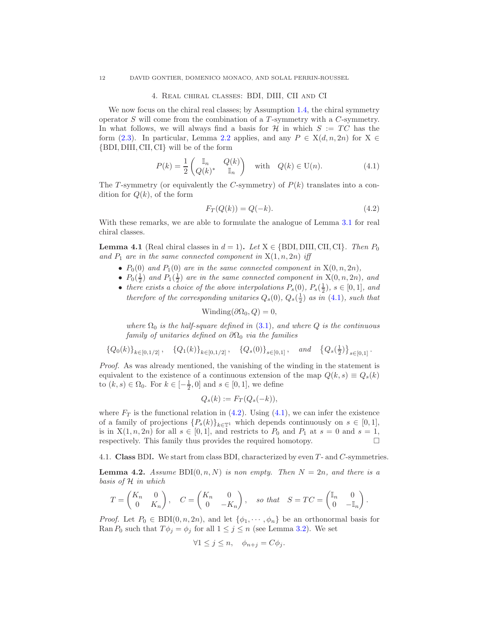#### 4. Real chiral classes: BDI, DIII, CII and CI

<span id="page-11-1"></span>We now focus on the chiral real classes; by Assumption [1.4,](#page-1-0) the chiral symmetry operator  $S$  will come from the combination of a  $T$ -symmetry with a  $C$ -symmetry. In what follows, we will always find a basis for  $\mathcal H$  in which  $S := TC$  has the form [\(2.3\)](#page-4-2). In particular, Lemma [2.2](#page-4-7) applies, and any  $P \in X(d, n, 2n)$  for  $X \in$ {BDI, DIII, CII, CI} will be of the form

<span id="page-11-2"></span>
$$
P(k) = \frac{1}{2} \begin{pmatrix} \mathbb{I}_n & Q(k) \\ Q(k)^* & \mathbb{I}_n \end{pmatrix} \quad \text{with} \quad Q(k) \in \mathcal{U}(n). \tag{4.1}
$$

The T-symmetry (or equivalently the C-symmetry) of  $P(k)$  translates into a condition for  $Q(k)$ , of the form

<span id="page-11-3"></span>
$$
F_T(Q(k)) = Q(-k). \tag{4.2}
$$

With these remarks, we are able to formulate the analogue of Lemma [3.1](#page-6-2) for real chiral classes.

<span id="page-11-5"></span>**Lemma 4.1** (Real chiral classes in  $d = 1$ ). Let  $X \in \{BDI, DIII, CII, CI\}$ . Then  $P_0$ and  $P_1$  are in the same connected component in  $X(1, n, 2n)$  iff

- $P_0(0)$  and  $P_1(0)$  are in the same connected component in  $X(0, n, 2n)$ ,
- $P_0(\frac{1}{2})$  and  $P_1(\frac{1}{2})$  are in the same connected component in  $X(0, n, 2n)$ , and
- there exists a choice of the above interpolations  $P_s(0)$ ,  $P_s(\frac{1}{2})$ ,  $s \in [0,1]$ , and therefore of the corresponding unitaries  $Q_s(0)$ ,  $Q_s(\frac{1}{2})$  as in [\(4.1\)](#page-11-2), such that

Winding( $\partial\Omega_0, Q$ ) = 0,

where  $\Omega_0$  is the half-square defined in [\(3.1\)](#page-6-4), and where Q is the continuous family of unitaries defined on  $\partial\Omega_0$  via the families

$$
\left\{Q_0(k)\right\}_{k\in [0,1/2]},\quad \left\{Q_1(k)\right\}_{k\in [0,1/2]},\quad \left\{Q_s(0)\right\}_{s\in [0,1]},\quad \textit{and}\quad \left\{Q_s(\tfrac{1}{2})\right\}_{s\in [0,1]}.
$$

Proof. As was already mentioned, the vanishing of the winding in the statement is equivalent to the existence of a continuous extension of the map  $Q(k, s) \equiv Q_s(k)$ to  $(k, s) \in Ω_0$ . For  $k \in [-\frac{1}{2}, 0]$  and  $s \in [0, 1]$ , we define

$$
Q_s(k) := F_T(Q_s(-k)),
$$

where  $F_T$  is the functional relation in [\(4.2\)](#page-11-3). Using [\(4.1\)](#page-11-2), we can infer the existence of a family of projections  ${P_s(k)}_{k\in\mathbb{T}^1}$  which depends continuously on  $s \in [0,1],$ is in  $X(1, n, 2n)$  for all  $s \in [0, 1]$ , and restricts to  $P_0$  and  $P_1$  at  $s = 0$  and  $s = 1$ , respectively. This family thus provides the required homotopy. respectively. This family thus provides the required homotopy.

<span id="page-11-0"></span>4.1. Class BDI. We start from class BDI, characterized by even T - and C-symmetries.

<span id="page-11-4"></span>**Lemma 4.2.** Assume BDI $(0, n, N)$  is non empty. Then  $N = 2n$ , and there is a basis of H in which

$$
T=\begin{pmatrix}K_n&0\\0&K_n\end{pmatrix},\quad C=\begin{pmatrix}K_n&0\\0&-K_n\end{pmatrix},\quad so\ that\quad S=TC=\begin{pmatrix}\mathbb{I}_n&0\\0&-\mathbb{I}_n\end{pmatrix}.
$$

*Proof.* Let  $P_0 \in \text{BDI}(0, n, 2n)$ , and let  $\{\phi_1, \dots, \phi_n\}$  be an orthonormal basis for Ran  $P_0$  such that  $T\phi_j = \phi_j$  for all  $1 \leq j \leq n$  (see Lemma [3.2\)](#page-6-3). We set

$$
\forall 1 \le j \le n, \quad \phi_{n+j} = C\phi_j.
$$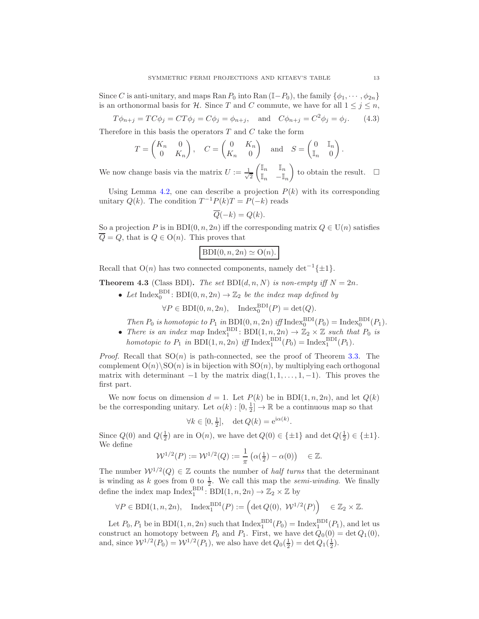Since C is anti-unitary, and maps Ran  $P_0$  into Ran  $(\mathbb{I}-P_0)$ , the family  $\{\phi_1, \dots, \phi_{2n}\}\$ is an orthonormal basis for H. Since T and C commute, we have for all  $1 \leq j \leq n$ ,

<span id="page-12-0"></span> $T\phi_{n+j} = TC\phi_j = CT\phi_j = C\phi_j = \phi_{n+j}, \text{ and } C\phi_{n+j} = C^2\phi_j = \phi_j.$  (4.3)

Therefore in this basis the operators  $T$  and  $C$  take the form

$$
T = \begin{pmatrix} K_n & 0 \\ 0 & K_n \end{pmatrix}, \quad C = \begin{pmatrix} 0 & K_n \\ K_n & 0 \end{pmatrix} \text{ and } S = \begin{pmatrix} 0 & \mathbb{I}_n \\ \mathbb{I}_n & 0 \end{pmatrix}.
$$

We now change basis via the matrix  $U := \frac{1}{\sqrt{2}}$ 2  $\int \mathbb{I}_n$   $\mathbb{I}_n$  $\mathbb{I}_n$  – $\mathbb{I}_n$ ) to obtain the result.  $\square$ 

Using Lemma [4.2,](#page-11-4) one can describe a projection  $P(k)$  with its corresponding unitary  $Q(k)$ . The condition  $T^{-1}P(k)T = P(-k)$  reads

$$
\overline{Q}(-k) = Q(k).
$$

So a projection P is in BDI $(0, n, 2n)$  iff the corresponding matrix  $Q \in U(n)$  satisfies  $\overline{Q} = Q$ , that is  $Q \in O(n)$ . This proves that

$$
\mathrm{BDI}(0, n, 2n) \simeq \mathrm{O}(n).
$$

Recall that  $O(n)$  has two connected components, namely det<sup>-1</sup>{ $\pm 1$ }.

<span id="page-12-1"></span>**Theorem 4.3** (Class BDI). The set  $BDI(d, n, N)$  is non-empty iff  $N = 2n$ .

• Let Index<sup>BDI</sup>: BDI $(0, n, 2n) \rightarrow \mathbb{Z}_2$  be the index map defined by

 $\forall P \in \text{BDI}(0, n, 2n), \quad \text{Index}_{0}^{\text{BDI}}(P) = \det(Q).$ 

- Then  $P_0$  is homotopic to  $P_1$  in  $BDI(0, n, 2n)$  iff Index $_0^{BDI}(P_0) = \text{Index}_{0}^{BDI}(P_1)$ .
- There is an index map  $\text{Index}_1^{\text{BDI}}: \text{BDI}(1, n, 2n) \to \mathbb{Z}_2 \times \mathbb{Z}$  such that  $P_0$  is homotopic to  $P_1$  in BDI $(1, n, 2n)$  iff Index<sup>BDI</sup> $(P_0)$  = Index<sup>BDI</sup> $(P_1)$ .

*Proof.* Recall that  $SO(n)$  is path-connected, see the proof of Theorem [3.3.](#page-7-3) The complement  $O(n)\setminus SO(n)$  is in bijection with  $SO(n)$ , by multiplying each orthogonal matrix with determinant  $-1$  by the matrix diag( $1, 1, \ldots, 1, -1$ ). This proves the first part.

We now focus on dimension  $d = 1$ . Let  $P(k)$  be in BDI $(1, n, 2n)$ , and let  $Q(k)$ be the corresponding unitary. Let  $\alpha(k):[0, \frac{1}{2}] \to \mathbb{R}$  be a continuous map so that

$$
\forall k \in [0, \frac{1}{2}], \quad \det Q(k) = e^{i\alpha(k)}.
$$

Since  $Q(0)$  and  $Q(\frac{1}{2})$  are in  $O(n)$ , we have det  $Q(0) \in {\pm 1}$  and det  $Q(\frac{1}{2}) \in {\pm 1}$ . We define

$$
\mathcal{W}^{1/2}(P) := \mathcal{W}^{1/2}(Q) := \frac{1}{\pi} \left( \alpha(\frac{1}{2}) - \alpha(0) \right) \in \mathbb{Z}.
$$

The number  $W^{1/2}(Q) \in \mathbb{Z}$  counts the number of *half turns* that the determinant is winding as k goes from 0 to  $\frac{1}{2}$ . We call this map the *semi-winding*. We finally define the index map  $Index_1^{BDI}$ :  $BDI(1, n, 2n) \rightarrow \mathbb{Z}_2 \times \mathbb{Z}$  by

$$
\forall P \in \mathrm{BDI}(1, n, 2n), \quad \mathrm{Index}_1^{\mathrm{BDI}}(P) := \left( \det Q(0), \ \mathcal{W}^{1/2}(P) \right) \quad \in \mathbb{Z}_2 \times \mathbb{Z}.
$$

Let  $P_0, P_1$  be in BDI $(1, n, 2n)$  such that Index<sup>BDI</sup> $(P_0)$  = Index<sup>BDI</sup> $(P_1)$ , and let us construct an homotopy between  $P_0$  and  $P_1$ . First, we have det  $Q_0(0) = \det Q_1(0)$ , and, since  $W^{1/2}(P_0) = W^{1/2}(P_1)$ , we also have  $\det Q_0(\frac{1}{2}) = \det Q_1(\frac{1}{2})$ .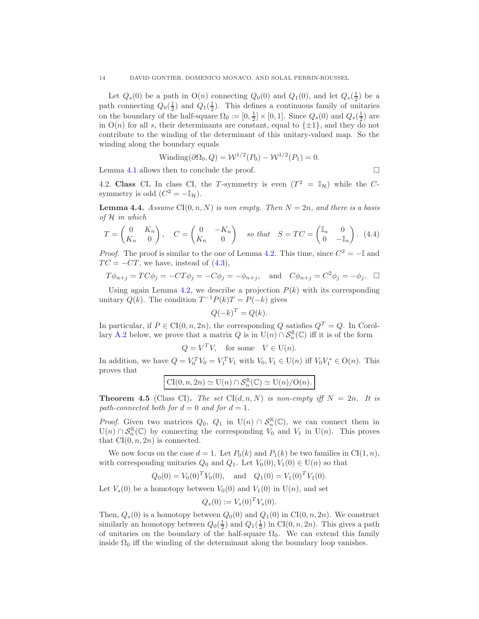Let  $Q_s(0)$  be a path in  $O(n)$  connecting  $Q_0(0)$  and  $Q_1(0)$ , and let  $Q_s(\frac{1}{2})$  be a path connecting  $Q_0(\frac{1}{2})$  and  $Q_1(\frac{1}{2})$ . This defines a continuous family of unitaries on the boundary of the half-square  $\Omega_0 := [0, \frac{1}{2}] \times [0, 1]$ . Since  $Q_s(0)$  and  $Q_s(\frac{1}{2})$  are in  $O(n)$  for all s, their determinants are constant, equal to  $\{\pm 1\}$ , and they do not contribute to the winding of the determinant of this unitary-valued map. So the winding along the boundary equals

$$
Winding(\partial \Omega_0, Q) = \mathcal{W}^{1/2}(P_0) - \mathcal{W}^{1/2}(P_1) = 0.
$$

<span id="page-13-0"></span>Lemma [4.1](#page-11-5) allows then to conclude the proof.  $\Box$ 

4.2. Class CI. In class CI, the T-symmetry is even  $(T^2 = \mathbb{I}_{\mathcal{H}})$  while the Csymmetry is odd  $(C^2 = -\mathbb{I}_{\mathcal{H}}).$ 

**Lemma 4.4.** Assume  $CI(0, n, N)$  is non empty. Then  $N = 2n$ , and there is a basis of H in which

$$
T = \begin{pmatrix} 0 & K_n \\ K_n & 0 \end{pmatrix}, \quad C = \begin{pmatrix} 0 & -K_n \\ K_n & 0 \end{pmatrix} \quad \text{so that} \quad S = TC = \begin{pmatrix} \mathbb{I}_n & 0 \\ 0 & -\mathbb{I}_n \end{pmatrix}. \tag{4.4}
$$

*Proof.* The proof is similar to the one of Lemma [4.2.](#page-11-4) This time, since  $C^2 = -\mathbb{I}$  and  $TC = -CT$ , we have, instead of  $(4.3)$ ,

$$
T\phi_{n+j} = TC\phi_j = -CT\phi_j = -C\phi_j = -\phi_{n+j}
$$
, and  $C\phi_{n+j} = C^2\phi_j = -\phi_j$ .  $\Box$ 

Using again Lemma [4.2,](#page-11-4) we describe a projection  $P(k)$  with its corresponding unitary  $Q(k)$ . The condition  $T^{-1}P(k)T = P(-k)$  gives

$$
Q(-k)^T = Q(k).
$$

In particular, if  $P \in \mathrm{CI}(0, n, 2n)$ , the corresponding Q satisfies  $Q^T = Q$ . In Corol-lary [A.2](#page-18-0) below, we prove that a matrix  $Q$  is in  $U(n) \cap S_n^{\mathbb{R}}(\mathbb{C})$  iff it is of the form

$$
Q = V^T V, \quad \text{for some} \quad V \in \mathcal{U}(n).
$$

In addition, we have  $Q = V_0^T V_0 = V_1^T V_1$  with  $V_0, V_1 \in U(n)$  iff  $V_0 V_1^* \in O(n)$ . This proves that

$$
CI(0, n, 2n) \simeq U(n) \cap S_n^{\mathbb{R}}(\mathbb{C}) \simeq U(n)/O(n).
$$

**Theorem 4.5** (Class CI). The set  $CI(d, n, N)$  is non-empty iff  $N = 2n$ . It is path-connected both for  $d = 0$  and for  $d = 1$ .

*Proof.* Given two matrices  $Q_0$ ,  $Q_1$  in  $U(n) \cap S_n^{\mathbb{R}}(\mathbb{C})$ , we can connect them in  $U(n) \cap S_n^{\mathbb{R}}(\mathbb{C})$  by connecting the corresponding  $V_0$  and  $V_1$  in  $U(n)$ . This proves that  $CI(0, n, 2n)$  is connected.

We now focus on the case  $d = 1$ . Let  $P_0(k)$  and  $P_1(k)$  be two families in CI(1, n), with corresponding unitaries  $Q_0$  and  $Q_1$ . Let  $V_0(0), V_1(0) \in U(n)$  so that

$$
Q_0(0) = V_0(0)^T V_0(0)
$$
, and  $Q_1(0) = V_1(0)^T V_1(0)$ .

Let  $V_s(0)$  be a homotopy between  $V_0(0)$  and  $V_1(0)$  in  $U(n)$ , and set

$$
Q_s(0) := V_s(0)^T V_s(0).
$$

Then,  $Q_s(0)$  is a homotopy between  $Q_0(0)$  and  $Q_1(0)$  in CI $(0, n, 2n)$ . We construct similarly an homotopy between  $Q_0(\frac{1}{2})$  and  $Q_1(\frac{1}{2})$  in CI $(0, n, 2n)$ . This gives a path of unitaries on the boundary of the half-square  $\Omega_0$ . We can extend this family inside  $\Omega_0$  iff the winding of the determinant along the boundary loop vanishes.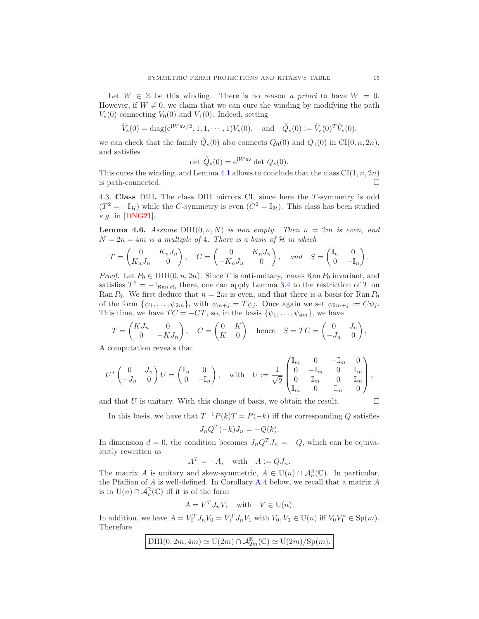Let  $W \in \mathbb{Z}$  be this winding. There is no reason a priori to have  $W = 0$ . However, if  $W \neq 0$ , we claim that we can cure the winding by modifying the path  $V_s(0)$  connecting  $V_0(0)$  and  $V_1(0)$ . Indeed, setting

$$
\widetilde{V}_s(0) = \text{diag}(\mathrm{e}^{\mathrm{i}W\pi s/2}, 1, 1, \cdots, 1)V_s(0), \quad \text{and} \quad \widetilde{Q}_s(0) := \widetilde{V}_s(0)^T \widetilde{V}_s(0),
$$

we can check that the family  $\widetilde{Q}_s(0)$  also connects  $Q_0(0)$  and  $Q_1(0)$  in CI $(0, n, 2n)$ , and satisfies

$$
\det \widetilde{Q}_s(0) = e^{iW\pi s} \det Q_s(0).
$$

This cures the winding, and Lemma [4.1](#page-11-5) allows to conclude that the class  $CI(1, n, 2n)$ is path-connected.

<span id="page-14-0"></span>4.3. Class DIII. The class DIII mirrors CI, since here the T-symmetry is odd  $(T^2 = -\mathbb{I}_{\mathcal{H}})$  while the C-symmetry is even  $(C^2 = \mathbb{I}_{\mathcal{H}})$ . This class has been studied e.g. in [\[DNG21\]](#page-21-20).

<span id="page-14-1"></span>**Lemma 4.6.** Assume DIII $(0, n, N)$  is non empty. Then  $n = 2m$  is even, and  $N = 2n = 4m$  is a multiple of 4. There is a basis of H in which

$$
T = \begin{pmatrix} 0 & K_n J_n \\ K_n J_n & 0 \end{pmatrix}, \quad C = \begin{pmatrix} 0 & K_n J_n \\ -K_n J_n & 0 \end{pmatrix}, \quad and \quad S = \begin{pmatrix} \mathbb{I}_n & 0 \\ 0 & -\mathbb{I}_n \end{pmatrix}.
$$

*Proof.* Let  $P_0 \in \text{DIII}(0, n, 2n)$ . Since T is anti-unitary, leaves Ran  $P_0$  invariant, and satisfies  $T^2 = -\mathbb{I}_{\text{Ran }P_0}$  there, one can apply Lemma [3.4](#page-7-4) to the restriction of T on Ran  $P_0$ . We first deduce that  $n = 2m$  is even, and that there is a basis for Ran  $P_0$ of the form  $\{\psi_1,\ldots,\psi_{2m}\}\,$  with  $\psi_{m+j} = T\psi_j$ . Once again we set  $\psi_{2m+j} := C\psi_j$ . This time, we have  $TC = -CT$ , so, in the basis  $\{\psi_1, \dots, \psi_{4m}\}\)$ , we have

$$
T = \begin{pmatrix} KJ_n & 0 \\ 0 & -KJ_n \end{pmatrix}, \quad C = \begin{pmatrix} 0 & K \\ K & 0 \end{pmatrix} \text{ hence } S = TC = \begin{pmatrix} 0 & J_n \\ -J_n & 0 \end{pmatrix},
$$

A computation reveals that

$$
U^*\begin{pmatrix}0&J_n\\-J_n&0\end{pmatrix}U=\begin{pmatrix}\mathbb{I}_n&0\\0&-\mathbb{I}_n\end{pmatrix},\quad\text{with}\quad U:=\frac{1}{\sqrt{2}}\begin{pmatrix}\mathbb{I}_m&0&-\mathbb{I}_m&0\\0&-\mathbb{I}_m&0&\mathbb{I}_m\\0&\mathbb{I}_m&0&\mathbb{I}_m\\mathbb{I}_m&0&\mathbb{I}_m&0\end{pmatrix},
$$

and that U is unitary. With this change of basis, we obtain the result.  $\Box$ 

In this basis, we have that  $T^{-1}P(k)T = P(-k)$  iff the corresponding Q satisfies  $J_n Q^T(-k) J_n = -Q(k).$ 

In dimension  $d = 0$ , the condition becomes  $J_n Q^T J_n = -Q$ , which can be equivalently rewritten as

$$
A^T = -A, \quad \text{with} \quad A := QJ_n.
$$

The matrix A is unitary and skew-symmetric,  $A \in U(n) \cap \mathcal{A}_{n}^{\mathbb{R}}(\mathbb{C})$ . In particular, the Pfaffian of A is well-defined. In Corollary [A.4](#page-19-0) below, we recall that a matrix A is in  $\mathrm{U}(n) \cap \mathcal{A}_n^{\mathbb{R}}(\mathbb{C})$  iff it is of the form

$$
A = V^T J_n V, \quad \text{with} \quad V \in \mathcal{U}(n).
$$

In addition, we have  $A = V_0^T J_n V_0 = V_1^T J_n V_1$  with  $V_0, V_1 \in U(n)$  iff  $V_0 V_1^* \in Sp(m)$ . Therefore

$$
\mathrm{DIII}(0,2m,4m)\simeq \mathrm{U}(2m)\cap \mathcal{A}_{2m}^{\mathbb{R}}(\mathbb{C})\simeq \mathrm{U}(2m)/\mathrm{Sp}(m).
$$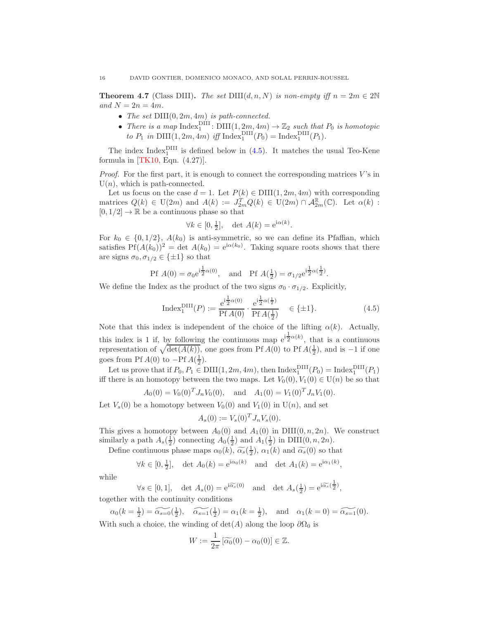**Theorem 4.7** (Class DIII). The set  $DIII(d, n, N)$  is non-empty iff  $n = 2m \in 2N$ and  $N = 2n = 4m$ .

- The set  $DIII(0, 2m, 4m)$  is path-connected.
- There is a map  $Index_1<sup>Diff</sup>$ :  $DIII(1, 2m, 4m) \rightarrow \mathbb{Z}_2$  such that  $P_0$  is homotopic to  $P_1$  in  $\text{DIII}(1, 2m, 4m)$  iff  $\text{Index}_1^{\text{DIII}}(P_0) = \text{Index}_1^{\text{DIII}}(P_1)$ .

The index  $Index_1^{DIII}$  is defined below in [\(4.5\)](#page-15-0). It matches the usual Teo-Kene formula in [\[TK10,](#page-21-21) Eqn. (4.27)].

*Proof.* For the first part, it is enough to connect the corresponding matrices  $V$ 's in  $U(n)$ , which is path-connected.

Let us focus on the case  $d = 1$ . Let  $P(k) \in \text{DIII}(1, 2m, 4m)$  with corresponding matrices  $Q(k) \in U(2m)$  and  $A(k) := J_{2m}^T Q(k) \in U(2m) \cap \mathcal{A}_{2m}^{\mathbb{R}}(\mathbb{C})$ . Let  $\alpha(k)$ :  $[0, 1/2] \rightarrow \mathbb{R}$  be a continuous phase so that

$$
\forall k \in [0, \frac{1}{2}], \quad \det A(k) = e^{i\alpha(k)}.
$$

For  $k_0 \in \{0, 1/2\}$ ,  $A(k_0)$  is anti-symmetric, so we can define its Pfaffian, which satisfies  $Pf(A(k_0))^2 = \det A(k_0) = e^{i\alpha(k_0)}$ . Taking square roots shows that there are signs  $\sigma_0, \sigma_{1/2} \in {\pm 1}$  so that

$$
\text{Pf } A(0) = \sigma_0 e^{i\frac{1}{2}\alpha(0)}, \quad \text{and} \quad \text{Pf } A(\frac{1}{2}) = \sigma_{1/2} e^{i\frac{1}{2}\alpha(\frac{1}{2})}.
$$

We define the Index as the product of the two signs  $\sigma_0 \cdot \sigma_{1/2}$ . Explicitly,

<span id="page-15-0"></span>
$$
\text{Index}_1^{\text{DIII}}(P) := \frac{e^{i\frac{1}{2}\alpha(0)}}{Pf A(0)} \cdot \frac{e^{i\frac{1}{2}\alpha(\frac{1}{2})}}{Pf A(\frac{1}{2})} \quad \in \{\pm 1\}. \tag{4.5}
$$

Note that this index is independent of the choice of the lifting  $\alpha(k)$ . Actually, this index is 1 if, by following the continuous map  $e^{i\frac{1}{2}\alpha(k)}$ , that is a continuous representation of  $\sqrt{\det(A(k))}$ , one goes from Pf  $A(0)$  to Pf  $A(\frac{1}{2})$ , and is -1 if one goes from Pf  $A(0)$  to  $-Pf A(\frac{1}{2})$ .

Let us prove that if  $P_0, P_1 \in \text{DIII}(1, 2m, 4m)$ , then  $\text{Index}_1^{\text{DIII}}(P_0) = \text{Index}_1^{\text{DIII}}(P_1)$ iff there is an homotopy between the two maps. Let  $V_0(0), V_1(0) \in U(n)$  be so that

$$
A_0(0) = V_0(0)^T J_n V_0(0)
$$
, and  $A_1(0) = V_1(0)^T J_n V_1(0)$ .

Let  $V_s(0)$  be a homotopy between  $V_0(0)$  and  $V_1(0)$  in  $U(n)$ , and set

$$
A_s(0) := V_s(0)^T J_n V_s(0).
$$

This gives a homotopy between  $A_0(0)$  and  $A_1(0)$  in DIII $(0, n, 2n)$ . We construct similarly a path  $A_s(\frac{1}{2})$  connecting  $A_0(\frac{1}{2})$  and  $A_1(\frac{1}{2})$  in DIII $(0, n, 2n)$ .

Define continuous phase maps  $\alpha_0(k)$ ,  $\widetilde{\alpha_s}(\frac{1}{2})$ ,  $\alpha_1(k)$  and  $\widetilde{\alpha_s}(0)$  so that

$$
\forall k \in [0, \frac{1}{2}], \quad \det A_0(k) = e^{i\alpha_0(k)} \quad \text{and} \quad \det A_1(k) = e^{i\alpha_1(k)},
$$

while

$$
\forall s \in [0,1], \quad \det A_s(0) = e^{i\widetilde{\alpha_s}(0)} \quad \text{and} \quad \det A_s(\frac{1}{2}) = e^{i\widetilde{\alpha_s}(\frac{1}{2})},
$$
 together with the continuity conditions

 $\alpha_0(k = \frac{1}{2}) = \widetilde{\alpha_{s=0}}(\frac{1}{2}), \quad \widetilde{\alpha_{s=1}}(\frac{1}{2}) = \alpha_1(k = \frac{1}{2}), \text{ and } \alpha_1(k = 0) = \widetilde{\alpha_{s=1}}(0).$ With such a choice, the winding of  $\det(A)$  along the loop  $\partial\Omega_0$  is

$$
W:=\frac{1}{2\pi}\left[\widetilde{\alpha_0}(0)-\alpha_0(0)\right]\in\mathbb{Z}.
$$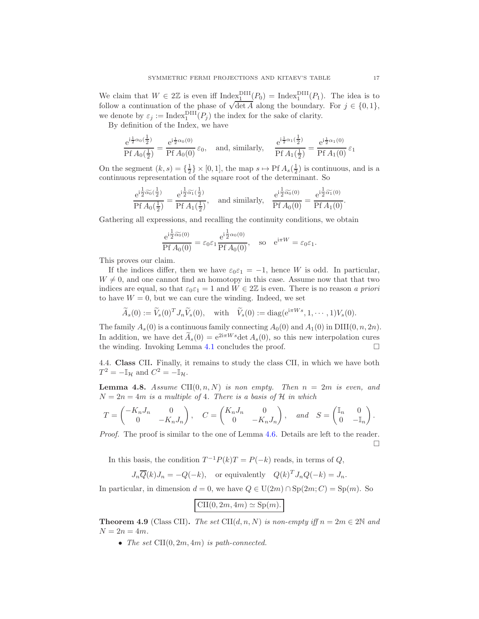We claim that  $W \in 2\mathbb{Z}$  is even iff  $\text{Index}_1^{\text{DIII}}(P_0) = \text{Index}_1^{\text{DIII}}(P_1)$ . The idea is to follow a continuation of the phase of  $\sqrt{\det A}$  along the boundary. For  $j \in \{0, 1\}$ , we denote by  $\varepsilon_j := \text{Index}_1^{\text{DIII}}(P_j)$  the index for the sake of clarity.

By definition of the Index, we have

$$
\frac{e^{i\frac{1}{2}\alpha_0(\frac{1}{2})}}{Pf A_0(\frac{1}{2})} = \frac{e^{i\frac{1}{2}\alpha_0(0)}}{Pf A_0(0)} \varepsilon_0, \text{ and, similarly, } \frac{e^{i\frac{1}{2}\alpha_1(\frac{1}{2})}}{Pf A_1(\frac{1}{2})} = \frac{e^{i\frac{1}{2}\alpha_1(0)}}{Pf A_1(0)} \varepsilon_1
$$

On the segment  $(k, s) = \{\frac{1}{2}\}\times [0, 1]$ , the map  $s \mapsto \text{Pf } A_s(\frac{1}{2})$  is continuous, and is a continuous representation of the square root of the determinant. So

$$
\frac{e^{i\frac{1}{2}\widetilde{\alpha_0}(\frac{1}{2})}}{Pf A_0(\frac{1}{2})} = \frac{e^{i\frac{1}{2}\widetilde{\alpha_1}(\frac{1}{2})}}{Pf A_1(\frac{1}{2})}, \text{ and similarly, } \frac{e^{i\frac{1}{2}\widetilde{\alpha_0}(0)}}{Pf A_0(0)} = \frac{e^{i\frac{1}{2}\widetilde{\alpha_1}(0)}}{Pf A_1(0)}.
$$

Gathering all expressions, and recalling the continuity conditions, we obtain

$$
\frac{e^{i\frac{1}{2}\widetilde{\alpha_0}(0)}}{Pf A_0(0)} = \varepsilon_0 \varepsilon_1 \frac{e^{i\frac{1}{2}\alpha_0(0)}}{Pf A_0(0)}, \text{ so } e^{i\pi W} = \varepsilon_0 \varepsilon_1.
$$

This proves our claim.

If the indices differ, then we have  $\varepsilon_0 \varepsilon_1 = -1$ , hence W is odd. In particular,  $W \neq 0$ , and one cannot find an homotopy in this case. Assume now that that two indices are equal, so that  $\varepsilon_0 \varepsilon_1 = 1$  and  $W \in 2\mathbb{Z}$  is even. There is no reason a priori to have  $W = 0$ , but we can cure the winding. Indeed, we set

$$
\widetilde{A}_s(0) := \widetilde{V}_s(0)^T J_n \widetilde{V}_s(0), \quad \text{with} \quad \widetilde{V}_s(0) := \text{diag}(\mathrm{e}^{\mathrm{i}\pi W s}, 1, \cdots, 1) V_s(0).
$$

The family  $A_s(0)$  is a continuous family connecting  $A_0(0)$  and  $A_1(0)$  in DIII $(0, n, 2n)$ . In addition, we have det  $\widetilde{A}_s(0) = e^{2i\pi W s} \det A_s(0)$ , so this new interpolation cures the winding. Invoking Lemma 4.1 concludes the proof. the winding. Invoking Lemma [4.1](#page-11-5) concludes the proof.

<span id="page-16-0"></span>4.4. Class CII. Finally, it remains to study the class CII, in which we have both  $T^2 = -\mathbb{I}_{\mathcal{H}}$  and  $C^2 = -\mathbb{I}_{\mathcal{H}}$ .

**Lemma 4.8.** Assume CII $(0, n, N)$  is non empty. Then  $n = 2m$  is even, and  $N = 2n = 4m$  is a multiple of 4. There is a basis of H in which

$$
T = \begin{pmatrix} -K_n J_n & 0 \\ 0 & -K_n J_n \end{pmatrix}, \quad C = \begin{pmatrix} K_n J_n & 0 \\ 0 & -K_n J_n \end{pmatrix}, \quad and \quad S = \begin{pmatrix} \mathbb{I}_n & 0 \\ 0 & -\mathbb{I}_n \end{pmatrix}.
$$

Proof. The proof is similar to the one of Lemma [4.6.](#page-14-1) Details are left to the reader.  $\Box$ 

In this basis, the condition  $T^{-1}P(k)T = P(-k)$  reads, in terms of  $Q$ ,

$$
J_n \overline{Q}(k) J_n = -Q(-k)
$$
, or equivalently  $Q(k)^T J_n Q(-k) = J_n$ .

In particular, in dimension  $d = 0$ , we have  $Q \in U(2m) \cap Sp(2m; C) = Sp(m)$ . So

$$
\text{CII}(0, 2m, 4m) \simeq \text{Sp}(m).
$$

**Theorem 4.9** (Class CII). The set CII $(d, n, N)$  is non-empty iff  $n = 2m \in 2\mathbb{N}$  and  $N=2n=4m$ .

• The set  $\text{CII}(0, 2m, 4m)$  is path-connected.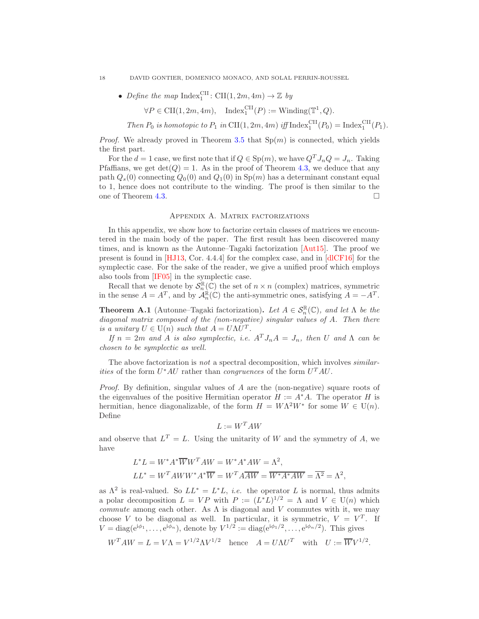#### 18 DAVID GONTIER, DOMENICO MONACO, AND SOLAL PERRIN-ROUSSEL

• Define the map  $Index_1^{CII}$ :  $CII(1, 2m, 4m) \rightarrow \mathbb{Z}$  by

 $\forall P \in \text{CII}(1, 2m, 4m), \quad \text{Index}_1^{\text{CII}}(P) := \text{Winding}(\mathbb{T}^1, Q).$ 

Then  $P_0$  is homotopic to  $P_1$  in CII(1, 2m, 4m) iff Index<sup>CII</sup>( $P_0$ ) = Index<sup>CII</sup>( $P_1$ ).

*Proof.* We already proved in Theorem [3.5](#page-8-2) that  $Sp(m)$  is connected, which yields the first part.

For the  $d = 1$  case, we first note that if  $Q \in \text{Sp}(m)$ , we have  $Q^T J_n Q = J_n$ . Taking Pfaffians, we get  $det(Q) = 1$ . As in the proof of Theorem [4.3,](#page-12-1) we deduce that any path  $Q_s(0)$  connecting  $Q_0(0)$  and  $Q_1(0)$  in  $Sp(m)$  has a determinant constant equal to 1, hence does not contribute to the winding. The proof is then similar to the one of Theorem [4.3.](#page-12-1)

## Appendix A. Matrix factorizations

<span id="page-17-0"></span>In this appendix, we show how to factorize certain classes of matrices we encountered in the main body of the paper. The first result has been discovered many times, and is known as the Autonne–Tagaki factorization [\[Aut15\]](#page-20-8). The proof we present is found in [\[HJ13,](#page-21-22) Cor. 4.4.4] for the complex case, and in [\[dlCF16\]](#page-20-9) for the symplectic case. For the sake of the reader, we give a unified proof which employs also tools from [\[IF05\]](#page-21-23) in the symplectic case.

Recall that we denote by  $S_n^{\mathbb{R}}(\mathbb{C})$  the set of  $n \times n$  (complex) matrices, symmetric in the sense  $A = A^T$ , and by  $\mathcal{A}_n^{\mathbb{R}}(\mathbb{C})$  the anti-symmetric ones, satisfying  $A = -A^T$ .

<span id="page-17-1"></span>**Theorem A.1** (Autonne–Tagaki factorization). Let  $A \in S_n^{\mathbb{R}}(\mathbb{C})$ , and let  $\Lambda$  be the diagonal matrix composed of the (non-negative) singular values of A. Then there is a unitary  $U \in U(n)$  such that  $A = U\Lambda U^{T}$ .

If  $n = 2m$  and A is also symplectic, i.e.  $A<sup>T</sup> J<sub>n</sub> A = J<sub>n</sub>$ , then U and  $\Lambda$  can be chosen to be symplectic as well.

The above factorization is not a spectral decomposition, which involves *similarities* of the form  $U^*AU$  rather than *congruences* of the form  $U^TAU$ .

*Proof.* By definition, singular values of A are the (non-negative) square roots of the eigenvalues of the positive Hermitian operator  $H := A^*A$ . The operator H is hermitian, hence diagonalizable, of the form  $H = W\Lambda^2 W^*$  for some  $W \in U(n)$ . Define

$$
L:=W^TAW
$$

and observe that  $L^T = L$ . Using the unitarity of W and the symmetry of A, we have

$$
L^*L = W^*A^*\overline{W}W^TAW = W^*A^*AW = \Lambda^2,
$$
  

$$
LL^* = W^TAWW^*A^*\overline{W} = W^TA\overline{AW} = \overline{W^*A^*AW} = \overline{\Lambda^2} = \Lambda^2,
$$

as  $\Lambda^2$  is real-valued. So  $LL^* = L^*L$ , *i.e.* the operator L is normal, thus admits a polar decomposition  $L = VP$  with  $P := (L^*L)^{1/2} = \Lambda$  and  $V \in U(n)$  which commute among each other. As  $\Lambda$  is diagonal and V commutes with it, we may choose V to be diagonal as well. In particular, it is symmetric,  $V = V^T$ . If  $V = \text{diag}(e^{i\phi_1}, \dots, e^{i\phi_n}),$  denote by  $V^{1/2} := \text{diag}(e^{i\phi_1/2}, \dots, e^{i\phi_n/2}).$  This gives

$$
W^T A W = L = V \Lambda = V^{1/2} \Lambda V^{1/2} \quad \text{hence} \quad A = U \Lambda U^T \quad \text{with} \quad U := \overline{W} V^{1/2}
$$

.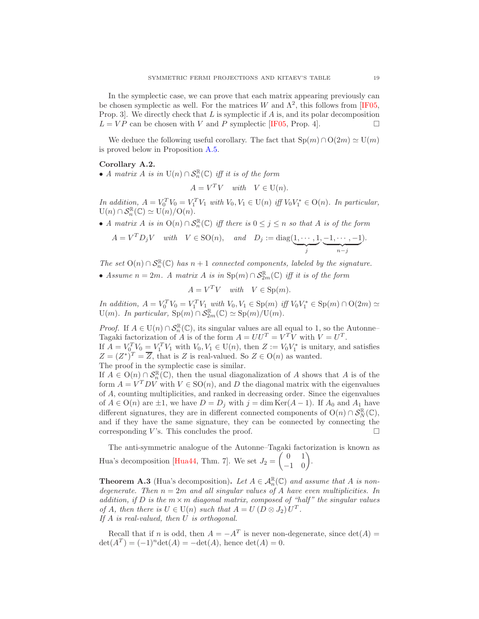In the symplectic case, we can prove that each matrix appearing previously can be chosen symplectic as well. For the matrices W and  $\Lambda^2$ , this follows from [\[IF05,](#page-21-23) Prop. 3. We directly check that  $L$  is symplectic if  $A$  is, and its polar decomposition  $L = VP$  can be chosen with V and P symplectic [\[IF05,](#page-21-23) Prop. 4].

We deduce the following useful corollary. The fact that  $\text{Sp}(m) \cap \text{O}(2m) \simeq \text{U}(m)$ is proved below in Proposition [A.5.](#page-20-7)

### <span id="page-18-0"></span>Corollary A.2.

• A matrix A is in  $U(n) \cap S_n^{\mathbb{R}}(\mathbb{C})$  iff it is of the form

$$
A = V^T V \quad \text{with} \quad V \in \mathcal{U}(n).
$$

In addition,  $A = V_0^T V_0 = V_1^T V_1$  with  $V_0, V_1 \in U(n)$  iff  $V_0 V_1^* \in O(n)$ . In particular,  $U(n) \cap S_n^{\mathbb{R}}(\mathbb{C}) \simeq U(n)/O(n).$ 

• A matrix A is in  $O(n) \cap S_n^{\mathbb{R}}(\mathbb{C})$  iff there is  $0 \leq j \leq n$  so that A is of the form

$$
A = V^T D_j V \quad with \quad V \in \text{SO}(n), \quad and \quad D_j := \text{diag}(\underbrace{1, \cdots, 1}_{j}, \underbrace{-1, \cdots, -1}_{n-j}).
$$

The set  $O(n) \cap S_n^{\mathbb{R}}(\mathbb{C})$  has  $n+1$  connected components, labeled by the signature. • Assume  $n = 2m$ . A matrix A is in  $\text{Sp}(m) \cap S_{2m}^{\mathbb{R}}(\mathbb{C})$  iff it is of the form

$$
A = V^T V \quad \text{with} \quad V \in \text{Sp}(m).
$$

*In addition,*  $A = V_0^T V_0 = V_1^T V_1$  with  $V_0, V_1 \in \text{Sp}(m)$  iff  $V_0 V_1^* \in \text{Sp}(m) \cap O(2m) \simeq$ U(m). In particular,  $\text{Sp}(m) \cap \overline{\mathcal{S}_{2m}^{\mathbb{R}}}(\mathbb{C}) \simeq \text{Sp}(m) / \text{U}(m)$ .

*Proof.* If  $A \in U(n) \cap S_n^{\mathbb{R}}(\mathbb{C})$ , its singular values are all equal to 1, so the Autonne– Tagaki factorization of A is of the form  $A = U U^T = V^T V$  with  $V = U^T$ . If  $A = V_0^T V_0 = V_1^T V_1$  with  $V_0, V_1 \in U(n)$ , then  $Z := V_0 V_1^*$  is unitary, and satisfies  $Z = (Z^*)^T = \overline{Z}$ , that is Z is real-valued. So  $Z \in O(n)$  as wanted. The proof in the symplectic case is similar.

If  $A \in O(n) \cap S_n^{\mathbb{R}}(\mathbb{C})$ , then the usual diagonalization of A shows that A is of the form  $A = V^T D V$  with  $V \in SO(n)$ , and D the diagonal matrix with the eigenvalues of A, counting multiplicities, and ranked in decreasing order. Since the eigenvalues of  $A \in O(n)$  are  $\pm 1$ , we have  $D = D_j$  with  $j = \dim \text{Ker}(A-1)$ . If  $A_0$  and  $A_1$  have different signatures, they are in different connected components of  $O(n) \cap S^{\mathbb{R}}_N(\mathbb{C}),$ and if they have the same signature, they can be connected by connecting the corresponding V's. This concludes the proof.  $\square$ 

The anti-symmetric analogue of the Autonne–Tagaki factorization is known as Hua's decomposition [\[Hua44,](#page-21-24) Thm. 7]. We set  $J_2 =$  $\begin{pmatrix} 0 & 1 \\ -1 & 0 \end{pmatrix}$ .

**Theorem A.3** (Hua's decomposition). Let  $A \in \mathcal{A}_{n}^{\mathbb{R}}(\mathbb{C})$  and assume that A is nondegenerate. Then  $n = 2m$  and all singular values of A have even multiplicities. In addition, if D is the  $m \times m$  diagonal matrix, composed of "half" the singular values of A, then there is  $U \in U(n)$  such that  $A = U(D \otimes J_2)U^T$ . If A is real-valued, then U is orthogonal.

Recall that if n is odd, then  $A = -A^T$  is never non-degenerate, since  $\det(A) = (A^T)$  $\det(A^T) = (-1)^n \det(A) = -\det(A)$ , hence  $\det(A) = 0$ .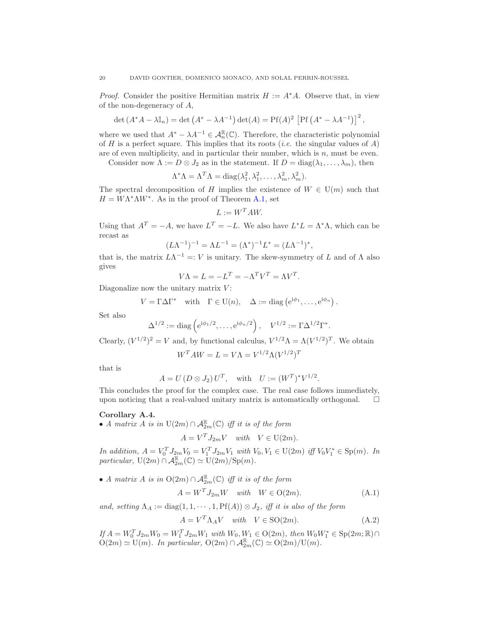*Proof.* Consider the positive Hermitian matrix  $H := A^*A$ . Observe that, in view of the non-degeneracy of A,

$$
\det(A^*A - \lambda \mathbb{I}_n) = \det(A^* - \lambda A^{-1}) \det(A) = \text{Pf}(A)^2 \left[ \text{Pf}(A^* - \lambda A^{-1}) \right]^2,
$$

where we used that  $A^* - \lambda A^{-1} \in \mathcal{A}_n^{\mathbb{R}}(\mathbb{C})$ . Therefore, the characteristic polynomial of H is a perfect square. This implies that its roots (*i.e.* the singular values of A) are of even multiplicity, and in particular their number, which is  $n$ , must be even.

Consider now  $\Lambda := D \otimes J_2$  as in the statement. If  $D = \text{diag}(\lambda_1, \ldots, \lambda_m)$ , then

$$
\Lambda^* \Lambda = \Lambda^T \Lambda = \text{diag}(\lambda_1^2, \lambda_1^2, \dots, \lambda_m^2, \lambda_m^2).
$$

The spectral decomposition of H implies the existence of  $W \in U(m)$  such that  $H = W\Lambda^*\Lambda W^*$ . As in the proof of Theorem [A.1,](#page-17-1) set

$$
L := W^T A W.
$$

Using that  $A^T = -A$ , we have  $L^T = -L$ . We also have  $L^*L = \Lambda^* \Lambda$ , which can be recast as

$$
(L\Lambda^{-1})^{-1} = \Lambda L^{-1} = (\Lambda^*)^{-1}L^* = (L\Lambda^{-1})^*,
$$

that is, the matrix  $L\Lambda^{-1} =: V$  is unitary. The skew-symmetry of L and of  $\Lambda$  also gives

$$
V\Lambda = L = -L^T = -\Lambda^T V^T = \Lambda V^T.
$$

Diagonalize now the unitary matrix  $V$ :

$$
V = \Gamma \Delta \Gamma^* \quad \text{with} \quad \Gamma \in U(n), \quad \Delta := \text{diag} \left( e^{i\phi_1}, \dots, e^{i\phi_n} \right).
$$

Set also

$$
\Delta^{1/2} := \text{diag}\left(e^{i\phi_1/2}, \dots, e^{i\phi_n/2}\right), \quad V^{1/2} := \Gamma \Delta^{1/2} \Gamma^*.
$$

Clearly,  $(V^{1/2})^2 = V$  and, by functional calculus,  $V^{1/2}\Lambda = \Lambda (V^{1/2})^T$ . We obtain

$$
W^T A W = L = V \Lambda = V^{1/2} \Lambda (V^{1/2})^T
$$

that is

$$
A = U (D \otimes J_2) U^T
$$
, with  $U := (W^T)^* V^{1/2}$ 

This concludes the proof for the complex case. The real case follows immediately, upon noticing that a real-valued unitary matrix is automatically orthogonal.  $\Box$ 

### <span id="page-19-0"></span>Corollary A.4.

• A matrix A is in  $U(2m) \cap \mathcal{A}_{2m}^{\mathbb{R}}(\mathbb{C})$  iff it is of the form

 $A = V^T J_{2m} V$  with  $V \in U(2m)$ .

In addition,  $A = V_0^T J_{2m} V_0 = V_1^T J_{2m} V_1$  with  $V_0, V_1 \in U(2m)$  iff  $V_0 V_1^* \in Sp(m)$ . In particular,  $U(2m) \cap \overline{\mathcal{A}_{2m}^{\mathbb{R}}}(\mathbb{C}) \simeq U(2m)/Sp(m).$ 

• A matrix A is in  $O(2m) \cap \mathcal{A}_{2m}^{\mathbb{R}}(\mathbb{C})$  iff it is of the form

<span id="page-19-1"></span>
$$
A = W^T J_{2m} W \quad with \quad W \in O(2m). \tag{A.1}
$$

.

and, setting  $\Lambda_A := \text{diag}(1, 1, \cdots, 1, \text{Pf}(A)) \otimes J_2$ , iff it is also of the form

<span id="page-19-2"></span>
$$
A = V^T \Lambda_A V \quad with \quad V \in \text{SO}(2m). \tag{A.2}
$$

 $I_f^{\dagger} A = W_0^T J_{2m} W_0 = W_1^T J_{2m} W_1$  with  $W_0, W_1 \in O(2m)$ , then  $W_0 W_1^* \in Sp(2m; \mathbb{R}) \cap$  $O(2m) \simeq U(m)$ . In particular,  $O(2m) \cap \mathcal{A}_{2m}^{\mathbb{R}}(\mathbb{C}) \simeq O(2m)/U(m)$ .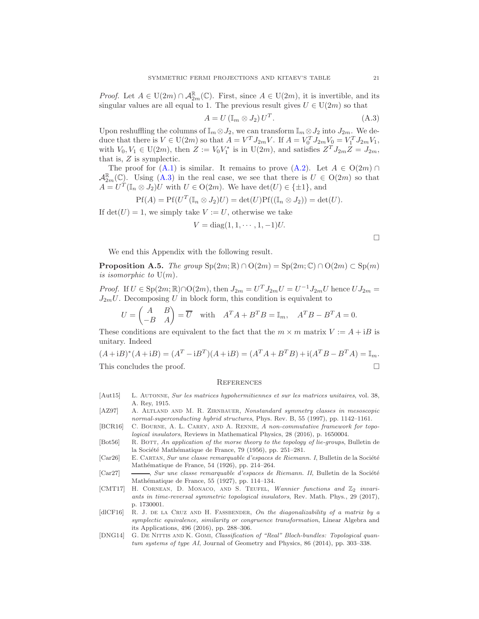*Proof.* Let  $A \in U(2m) \cap \mathcal{A}_{2m}^{\mathbb{R}}(\mathbb{C})$ . First, since  $A \in U(2m)$ , it is invertible, and its singular values are all equal to 1. The previous result gives  $U \in U(2m)$  so that

<span id="page-20-10"></span>
$$
A = U \left( \mathbb{I}_m \otimes J_2 \right) U^T. \tag{A.3}
$$

Upon reshuffling the columns of  $\mathbb{I}_m \otimes J_2$ , we can transform  $\mathbb{I}_m \otimes J_2$  into  $J_{2m}$ . We deduce that there is  $V \in U(2m)$  so that  $A = V^T J_{2m} V$ . If  $A = V_0^T J_{2m} V_0 = V_1^T J_{2m} V_1$ , with  $V_0, V_1 \in U(2m)$ , then  $Z := V_0 V_1^*$  is in  $U(2m)$ , and satisfies  $Z^T J_{2m} Z = J_{2m}$ , that is, Z is symplectic.

The proof for  $(A.1)$  is similar. It remains to prove  $(A.2)$ . Let  $A \in O(2m) \cap$  $\mathcal{A}_{2m}^{\mathbb{R}}(\mathbb{C})$ . Using  $(A.3)$  in the real case, we see that there is  $U \in O(2m)$  so that  $A = U^T(\mathbb{I}_n \otimes J_2)U$  with  $U \in O(2m)$ . We have  $\det(U) \in {\{\pm 1\}}$ , and

$$
Pf(A) = Pf(UT(\mathbb{I}n \otimes J2)U) = det(U)Pf((\mathbb{I}n \otimes J2)) = det(U).
$$

If  $det(U) = 1$ , we simply take  $V := U$ , otherwise we take

$$
V = diag(1, 1, \cdots, 1, -1)U.
$$

 $\Box$ 

We end this Appendix with the following result.

<span id="page-20-7"></span>**Proposition A.5.** The group  $Sp(2m;\mathbb{R}) \cap O(2m) = Sp(2m;\mathbb{C}) \cap O(2m) \subset Sp(m)$ is isomorphic to  $U(m)$ .

*Proof.* If  $U \in \text{Sp}(2m; \mathbb{R}) \cap O(2m)$ , then  $J_{2m} = U^T J_{2m} U = U^{-1} J_{2m} U$  hence  $U J_{2m} =$  $J_{2m}U$ . Decomposing U in block form, this condition is equivalent to

$$
U = \begin{pmatrix} A & B \\ -B & A \end{pmatrix} = \overline{U} \text{ with } A^T A + B^T B = \mathbb{I}_m, A^T B - B^T A = 0.
$$

These conditions are equivalent to the fact that the  $m \times m$  matrix  $V := A + iB$  is unitary. Indeed

$$
(A+iB)^*(A+iB) = (A^T - iB^T)(A+iB) = (A^T A + B^T B) + i(A^T B - B^T A) = \mathbb{I}_m.
$$
  
This concludes the proof.

#### **REFERENCES**

- <span id="page-20-8"></span>[Aut15] L. AUTONNE, Sur les matrices hypohermitiennes et sur les matrices unitaires, vol. 38, A. Rey, 1915.
- <span id="page-20-3"></span>[AZ97] A. Altland and M. R. Zirnbauer, Nonstandard symmetry classes in mesoscopic normal-superconducting hybrid structures, Phys. Rev. B, 55 (1997), pp. 1142–1161.
- <span id="page-20-0"></span>[BCR16] C. Bourne, A. L. Carey, and A. Rennie, A non-commutative framework for topological insulators, Reviews in Mathematical Physics, 28 (2016), p. 1650004.
- <span id="page-20-4"></span>[Bot56] R. BOTT, An application of the morse theory to the topology of lie-groups, Bulletin de la Société Mathématique de France, 79 (1956), pp. 251–281.
- <span id="page-20-1"></span> $[Car26]$  E. CARTAN, Sur une classe remarquable d'espaces de Riemann. I, Bulletin de la Société Mathématique de France, 54 (1926), pp. 214–264.
- <span id="page-20-2"></span>[Car27] , Sur une classe remarquable d'espaces de Riemann. II, Bulletin de la Société Mathématique de France, 55 (1927), pp. 114-134.
- <span id="page-20-6"></span>[CMT17] H. CORNEAN, D. MONACO, AND S. TEUFEL, Wannier functions and  $\mathbb{Z}_2$  invariants in time-reversal symmetric topological insulators, Rev. Math. Phys., 29 (2017), p. 1730001.
- <span id="page-20-9"></span> $[dCF16]$  R. J. DE LA CRUZ AND H. FASSBENDER, On the diagonalizability of a matrix by a symplectic equivalence, similarity or congruence transformation, Linear Algebra and its Applications, 496 (2016), pp. 288–306.
- <span id="page-20-5"></span>[DNG14] G. DE NITTIS AND K. GOMI, Classification of "Real" Bloch-bundles: Topological quantum systems of type AI, Journal of Geometry and Physics, 86 (2014), pp. 303–338.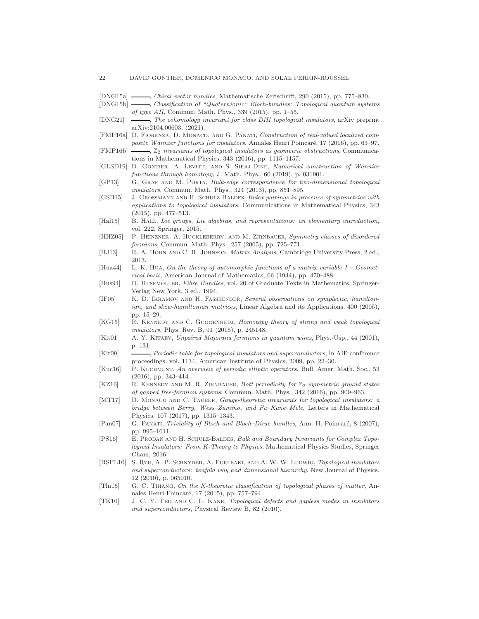- <span id="page-21-9"></span>[DNG15a] , Chiral vector bundles, Mathematische Zeitschrift, 290 (2015), pp. 775–830.
- <span id="page-21-15"></span>[DNG15b]  $\longrightarrow$ , Classification of "Quaternionic" Bloch-bundles: Topological quantum systems of type AII, Commun. Math. Phys., 339 (2015), pp. 1–55.
- <span id="page-21-20"></span>[DNG21]  $\longrightarrow$ , The cohomology invariant for class DIII topological insulators, arXiv preprint arXiv:2104.00603, (2021).
- <span id="page-21-13"></span>[FMP16a] D. FIORENZA, D. MONACO, AND G. PANATI, Construction of real-valued localized composite Wannier functions for insulators, Annales Henri Poincaré, 17 (2016), pp. 63–97.
- <span id="page-21-16"></span> $[FMP16b]$   $\longrightarrow$ ,  $\mathbb{Z}_2$  invariants of topological insulators as geometric obstructions, Communications in Mathematical Physics, 343 (2016), pp. 1115–1157.
- <span id="page-21-11"></span>[GLSD19] D. Gontier, A. Levitt, and S. Siraj-Dine, Numerical construction of Wannier functions through homotopy, J. Math. Phys., 60 (2019), p. 031901.
- <span id="page-21-14"></span>[GP13] G. GRAF AND M. PORTA, Bulk-edge correspondence for two-dimensional topological insulators, Commun. Math. Phys., 324 (2013), pp. 851–895.
- <span id="page-21-4"></span>[GSB15] J. GROSSMANN AND H. SCHULZ-BALDES, Index pairings in presence of symmetries with applications to topological insulators, Communications in Mathematical Physics, 343 (2015), pp. 477–513.
- <span id="page-21-18"></span>[Hal15] B. HALL, Lie groups, Lie algebras, and representations: an elementary introduction, vol. 222, Springer, 2015.
- <span id="page-21-1"></span>[HHZ05] P. Heinzner, A. Huckleberry, and M. Zirnbauer, Symmetry classes of disordered fermions, Commun. Math. Phys., 257 (2005), pp. 725–771.
- <span id="page-21-22"></span>[HJ13] R. A. Horn and C. R. Johnson, Matrix Analysis, Cambridge University Press, 2 ed., 2013.
- <span id="page-21-24"></span>[Hua44] L.-K. HuA, On the theory of automorphic functions of a matrix variable  $I$  – Geometrical basis, American Journal of Mathematics, 66 (1944), pp. 470–488.
- <span id="page-21-10"></span>[Hus94] D. HUSEMÖLLER, Fibre Bundles, vol. 20 of Graduate Texts in Mathematics, Springer-Verlag New York, 3 ed., 1994.
- <span id="page-21-23"></span>[IF05] K. D. IKRAMOV AND H. FASSBENDER, Several observations on symplectic, hamiltonian, and skew-hamiltonian matrices, Linear Algebra and its Applications, 400 (2005), pp. 15–29.
- <span id="page-21-3"></span>[KG15] R. KENNEDY AND C. GUGGENHEIM, Homotopy theory of strong and weak topological insulators, Phys. Rev. B, 91 (2015), p. 245148.
- <span id="page-21-19"></span>[Kit01] A. Y. Kitaev, Unpaired Majorana fermions in quantum wires, Phys.-Usp., 44 (2001), p. 131.
- <span id="page-21-0"></span>[Kit09]  $\qquad \qquad \qquad$  *Periodic table for topological insulators and superconductors, in AIP conference* proceedings, vol. 1134, American Institute of Physics, 2009, pp. 22–30.
- <span id="page-21-7"></span>[Kuc16] P. Kuchment, An overview of periodic elliptic operators, Bull. Amer. Math. Soc., 53 (2016), pp. 343–414.
- <span id="page-21-2"></span>[KZ16] R. KENNEDY AND M. R. ZIRNBAUER, Bott periodicity for  $\mathbb{Z}_2$  symmetric ground states of gapped free-fermion systems, Commun. Math. Phys., 342 (2016), pp. 909–963.
- <span id="page-21-17"></span>[MT17] D. MONACO AND C. TAUBER, Gauge-theoretic invariants for topological insulators: a bridge between Berry, Wess–Zumino, and Fu–Kane–Mele, Letters in Mathematical Physics, 107 (2017), pp. 1315–1343.
- <span id="page-21-12"></span>[Pan07] G. PANATI, Triviality of Bloch and Bloch–Dirac bundles, Ann. H. Poincaré, 8 (2007), pp. 995–1011.
- <span id="page-21-6"></span>[PS16] E. Prodan and H. Schulz-Baldes, Bulk and Boundary Invariants for Complex Topological Insulators: From K-Theory to Physics, Mathematical Physics Studies, Springer Cham, 2016.
- <span id="page-21-8"></span>[RSFL10] S. Ryu, A. P. Schnyder, A. Furusaki, and A. W. W. Ludwig, Topological insulators and superconductors: tenfold way and dimensional hierarchy, New Journal of Physics, 12 (2010), p. 065010.
- <span id="page-21-5"></span>[Thi15] G. C. Thiang, On the K-theoretic classification of topological phases of matter, Annales Henri Poincaré, 17 (2015), pp. 757–794.
- <span id="page-21-21"></span>[TK10] J. C. Y. Teo and C. L. Kane, Topological defects and gapless modes in insulators and superconductors, Physical Review B, 82 (2010).